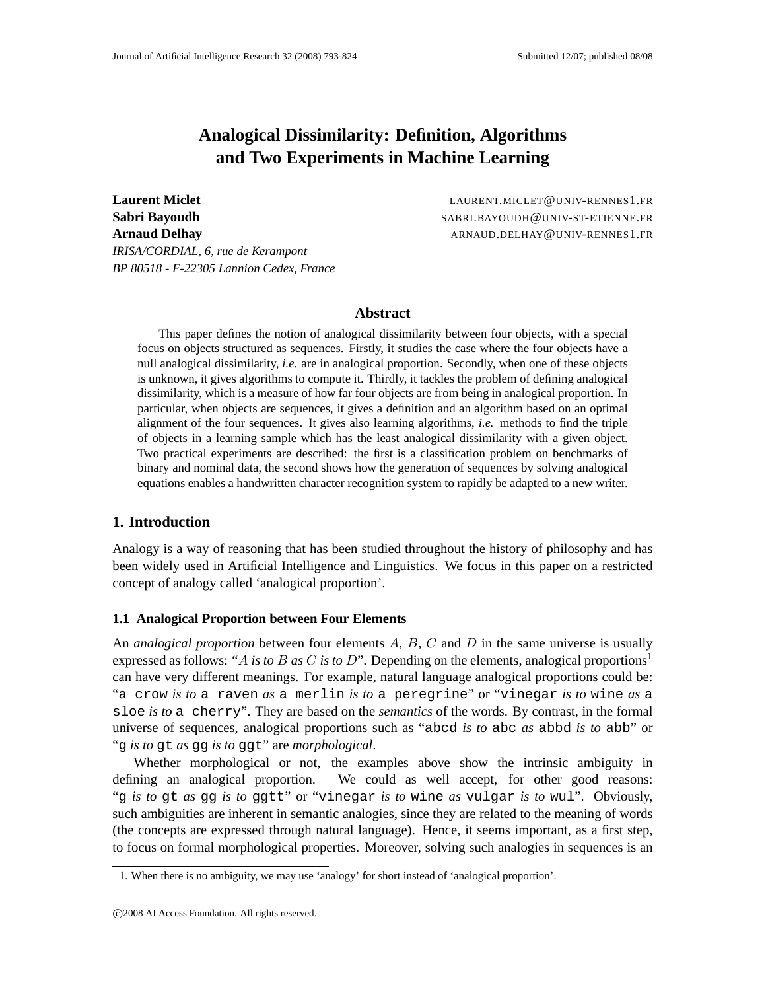# **Analogical Dissimilarity: Definition, Algorithms and Two Experiments in Machine Learning**

**Sabri Bayoudh** SABRI.BAYOUDH@UNIV-ST-ETIENNE.FR **Arnaud Delhay** ARNAUD.DELHAY @UNIV-RENNES1.FR *IRISA/CORDIAL, 6, rue de Kerampont BP 80518 - F-22305 Lannion Cedex, France*

**Laurent Miclet** LAURENT.MICLET@UNIV-RENNES1.FR

### **Abstract**

This paper defines the notion of analogical dissimilarity between four objects, with a special focus on objects structured as sequences. Firstly, it studies the case where the four objects have a null analogical dissimilarity, *i.e.* are in analogical proportion. Secondly, when one of these objects is unknown, it gives algorithms to compute it. Thirdly, it tackles the problem of defining analogical dissimilarity, which is a measure of how far four objects are from being in analogical proportion. In particular, when objects are sequences, it gives a definition and an algorithm based on an optimal alignment of the four sequences. It gives also learning algorithms, *i.e.* methods to find the triple of objects in a learning sample which has the least analogical dissimilarity with a given object. Two practical experiments are described: the first is a classification problem on benchmarks of binary and nominal data, the second shows how the generation of sequences by solving analogical equations enables a handwritten character recognition system to rapidly be adapted to a new writer.

## **1. Introduction**

Analogy is a way of reasoning that has been studied throughout the history of philosophy and has been widely used in Artificial Intelligence and Linguistics. We focus in this paper on a restricted concept of analogy called 'analogical proportion'.

#### **1.1 Analogical Proportion between Four Elements**

An *analogical proportion* between four elements A, B, C and D in the same universe is usually expressed as follows: "A *is to B as C is to D*". Depending on the elements, analogical proportions<sup>1</sup> can have very different meanings. For example, natural language analogical proportions could be: "a crow *is to* a raven *as* a merlin *is to* a peregrine" or "vinegar *is to* wine *as* a sloe *is to* a cherry". They are based on the *semantics* of the words. By contrast, in the formal universe of sequences, analogical proportions such as "abcd *is to* abc *as* abbd *is to* abb" or "g *is to* gt *as* gg *is to* ggt" are *morphological*.

Whether morphological or not, the examples above show the intrinsic ambiguity in defining an analogical proportion. We could as well accept, for other good reasons: "g *is to* gt *as* gg *is to* ggtt" or "vinegar *is to* wine *as* vulgar *is to* wul". Obviously, such ambiguities are inherent in semantic analogies, since they are related to the meaning of words (the concepts are expressed through natural language). Hence, it seems important, as a first step, to focus on formal morphological properties. Moreover, solving such analogies in sequences is an

<sup>1.</sup> When there is no ambiguity, we may use 'analogy' for short instead of 'analogical proportion'.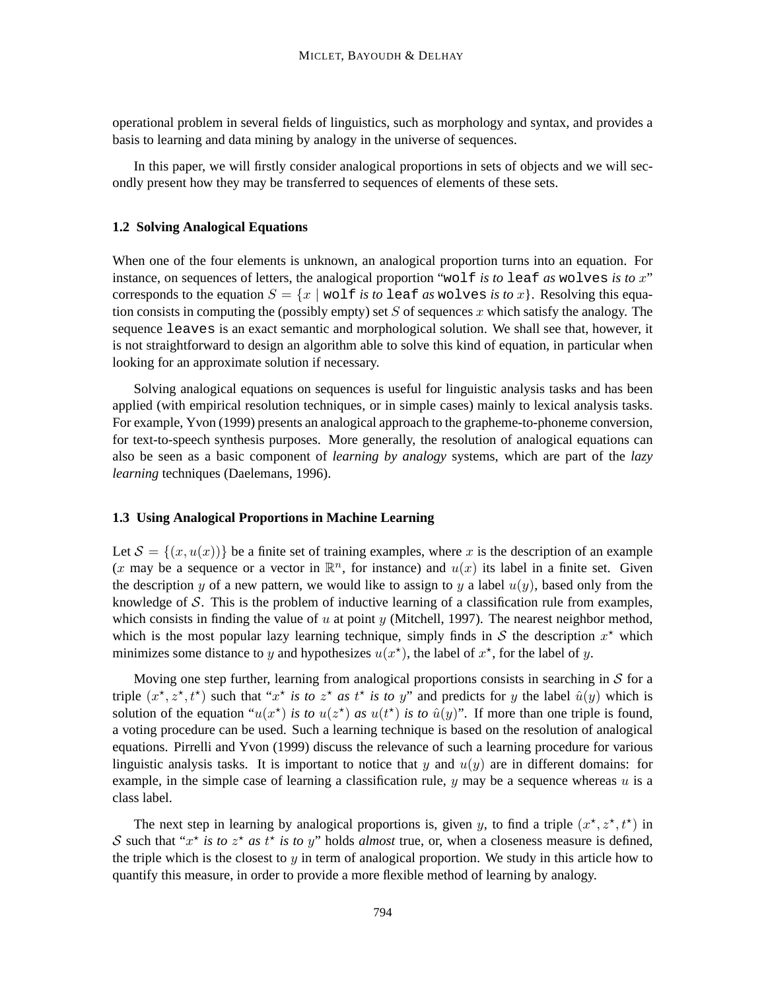operational problem in several fields of linguistics, such as morphology and syntax, and provides a basis to learning and data mining by analogy in the universe of sequences.

In this paper, we will firstly consider analogical proportions in sets of objects and we will secondly present how they may be transferred to sequences of elements of these sets.

### **1.2 Solving Analogical Equations**

When one of the four elements is unknown, an analogical proportion turns into an equation. For instance, on sequences of letters, the analogical proportion "wolf *is to* leaf *as* wolves *is to* x" corresponds to the equation  $S = \{x \mid \text{vol}f \text{ is to } \text{leaf} \text{ as } \text{volves} \text{ is to } x\}$ . Resolving this equation consists in computing the (possibly empty) set  $S$  of sequences x which satisfy the analogy. The sequence leaves is an exact semantic and morphological solution. We shall see that, however, it is not straightforward to design an algorithm able to solve this kind of equation, in particular when looking for an approximate solution if necessary.

Solving analogical equations on sequences is useful for linguistic analysis tasks and has been applied (with empirical resolution techniques, or in simple cases) mainly to lexical analysis tasks. For example, Yvon (1999) presents an analogical approach to the grapheme-to-phoneme conversion, for text-to-speech synthesis purposes. More generally, the resolution of analogical equations can also be seen as a basic component of *learning by analogy* systems, which are part of the *lazy learning* techniques (Daelemans, 1996).

### **1.3 Using Analogical Proportions in Machine Learning**

Let  $\mathcal{S} = \{(x, u(x))\}$  be a finite set of training examples, where x is the description of an example (x may be a sequence or a vector in  $\mathbb{R}^n$ , for instance) and  $u(x)$  its label in a finite set. Given the description y of a new pattern, we would like to assign to y a label  $u(y)$ , based only from the knowledge of  $S$ . This is the problem of inductive learning of a classification rule from examples, which consists in finding the value of  $u$  at point  $y$  (Mitchell, 1997). The nearest neighbor method, which is the most popular lazy learning technique, simply finds in  $S$  the description  $x^*$  which minimizes some distance to y and hypothesizes  $u(x^*)$ , the label of  $x^*$ , for the label of y.

Moving one step further, learning from analogical proportions consists in searching in  $S$  for a triple  $(x^*, z^*, t^*)$  such that " $x^*$  *is to*  $z^*$  *as*  $t^*$  *is to* y" and predicts for y the label  $\hat{u}(y)$  which is solution of the equation " $u(x^*)$  *is to*  $u(z^*)$  *as*  $u(t^*)$  *is to*  $\hat{u}(y)$ ". If more than one triple is found, a voting procedure can be used. Such a learning technique is based on the resolution of analogical equations. Pirrelli and Yvon (1999) discuss the relevance of such a learning procedure for various linguistic analysis tasks. It is important to notice that y and  $u(y)$  are in different domains: for example, in the simple case of learning a classification rule,  $y$  may be a sequence whereas  $u$  is a class label.

The next step in learning by analogical proportions is, given y, to find a triple  $(x^*, z^*, t^*)$  in S such that " $x^*$  *is to*  $z^*$  *as*  $t^*$  *is to* y" holds *almost* true, or, when a closeness measure is defined, the triple which is the closest to y in term of analogical proportion. We study in this article how to quantify this measure, in order to provide a more flexible method of learning by analogy.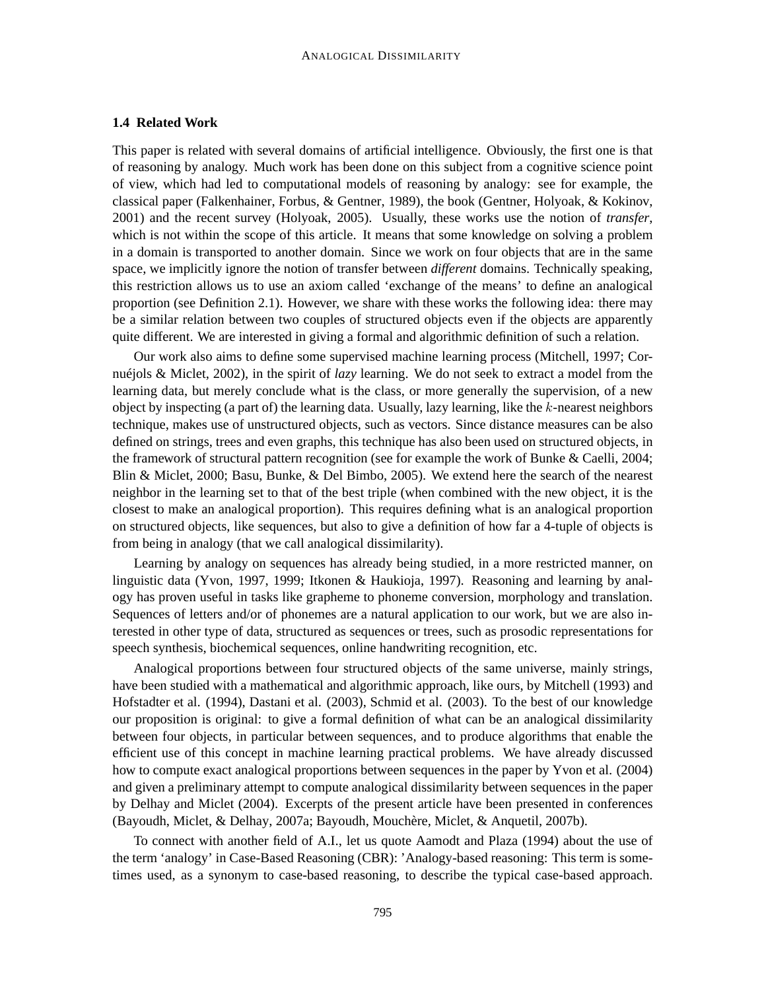### **1.4 Related Work**

This paper is related with several domains of artificial intelligence. Obviously, the first one is that of reasoning by analogy. Much work has been done on this subject from a cognitive science point of view, which had led to computational models of reasoning by analogy: see for example, the classical paper (Falkenhainer, Forbus, & Gentner, 1989), the book (Gentner, Holyoak, & Kokinov, 2001) and the recent survey (Holyoak, 2005). Usually, these works use the notion of *transfer*, which is not within the scope of this article. It means that some knowledge on solving a problem in a domain is transported to another domain. Since we work on four objects that are in the same space, we implicitly ignore the notion of transfer between *different* domains. Technically speaking, this restriction allows us to use an axiom called 'exchange of the means' to define an analogical proportion (see Definition 2.1). However, we share with these works the following idea: there may be a similar relation between two couples of structured objects even if the objects are apparently quite different. We are interested in giving a formal and algorithmic definition of such a relation.

Our work also aims to define some supervised machine learning process (Mitchell, 1997; Cornuéjols & Miclet, 2002), in the spirit of *lazy* learning. We do not seek to extract a model from the learning data, but merely conclude what is the class, or more generally the supervision, of a new object by inspecting (a part of) the learning data. Usually, lazy learning, like the  $k$ -nearest neighbors technique, makes use of unstructured objects, such as vectors. Since distance measures can be also defined on strings, trees and even graphs, this technique has also been used on structured objects, in the framework of structural pattern recognition (see for example the work of Bunke & Caelli, 2004; Blin & Miclet, 2000; Basu, Bunke, & Del Bimbo, 2005). We extend here the search of the nearest neighbor in the learning set to that of the best triple (when combined with the new object, it is the closest to make an analogical proportion). This requires defining what is an analogical proportion on structured objects, like sequences, but also to give a definition of how far a 4-tuple of objects is from being in analogy (that we call analogical dissimilarity).

Learning by analogy on sequences has already being studied, in a more restricted manner, on linguistic data (Yvon, 1997, 1999; Itkonen & Haukioja, 1997). Reasoning and learning by analogy has proven useful in tasks like grapheme to phoneme conversion, morphology and translation. Sequences of letters and/or of phonemes are a natural application to our work, but we are also interested in other type of data, structured as sequences or trees, such as prosodic representations for speech synthesis, biochemical sequences, online handwriting recognition, etc.

Analogical proportions between four structured objects of the same universe, mainly strings, have been studied with a mathematical and algorithmic approach, like ours, by Mitchell (1993) and Hofstadter et al. (1994), Dastani et al. (2003), Schmid et al. (2003). To the best of our knowledge our proposition is original: to give a formal definition of what can be an analogical dissimilarity between four objects, in particular between sequences, and to produce algorithms that enable the efficient use of this concept in machine learning practical problems. We have already discussed how to compute exact analogical proportions between sequences in the paper by Yvon et al. (2004) and given a preliminary attempt to compute analogical dissimilarity between sequences in the paper by Delhay and Miclet (2004). Excerpts of the present article have been presented in conferences (Bayoudh, Miclet, & Delhay, 2007a; Bayoudh, Mouchère, Miclet, & Anquetil, 2007b).

To connect with another field of A.I., let us quote Aamodt and Plaza (1994) about the use of the term 'analogy' in Case-Based Reasoning (CBR): 'Analogy-based reasoning: This term is sometimes used, as a synonym to case-based reasoning, to describe the typical case-based approach.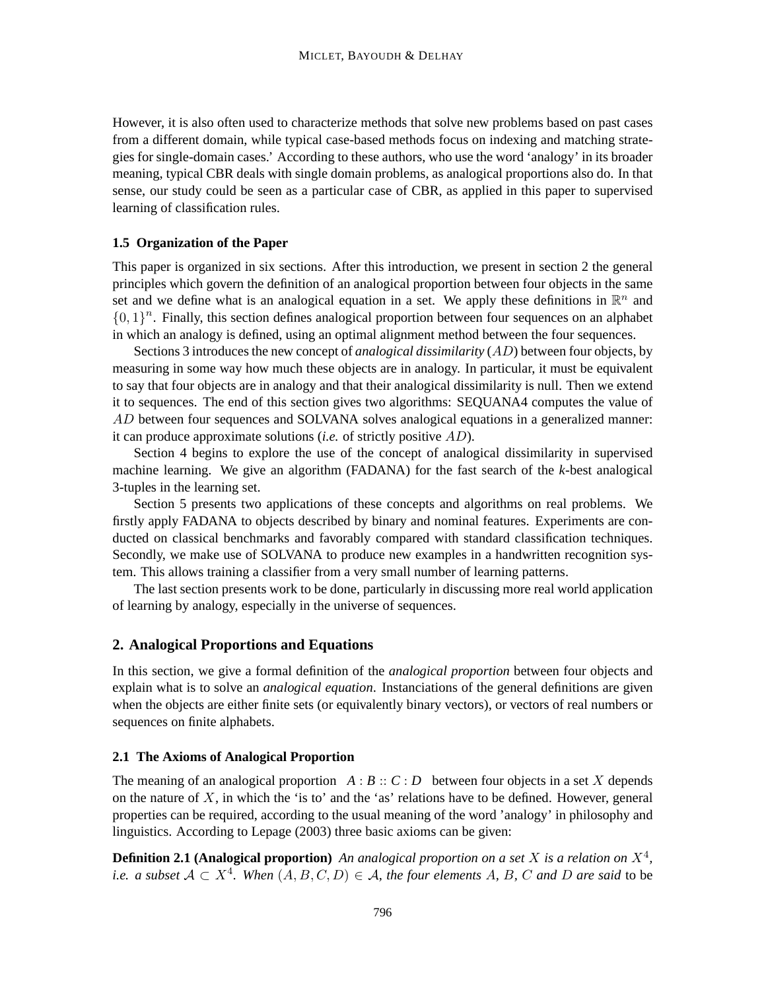However, it is also often used to characterize methods that solve new problems based on past cases from a different domain, while typical case-based methods focus on indexing and matching strategies for single-domain cases.' According to these authors, who use the word 'analogy' in its broader meaning, typical CBR deals with single domain problems, as analogical proportions also do. In that sense, our study could be seen as a particular case of CBR, as applied in this paper to supervised learning of classification rules.

#### **1.5 Organization of the Paper**

This paper is organized in six sections. After this introduction, we present in section 2 the general principles which govern the definition of an analogical proportion between four objects in the same set and we define what is an analogical equation in a set. We apply these definitions in  $\mathbb{R}^n$  and  ${0, 1}^n$ . Finally, this section defines analogical proportion between four sequences on an alphabet in which an analogy is defined, using an optimal alignment method between the four sequences.

Sections 3 introduces the new concept of *analogical dissimilarity* (AD) between four objects, by measuring in some way how much these objects are in analogy. In particular, it must be equivalent to say that four objects are in analogy and that their analogical dissimilarity is null. Then we extend it to sequences. The end of this section gives two algorithms: SEQUANA4 computes the value of AD between four sequences and SOLVANA solves analogical equations in a generalized manner: it can produce approximate solutions (*i.e.* of strictly positive AD).

Section 4 begins to explore the use of the concept of analogical dissimilarity in supervised machine learning. We give an algorithm (FADANA) for the fast search of the *k*-best analogical 3-tuples in the learning set.

Section 5 presents two applications of these concepts and algorithms on real problems. We firstly apply FADANA to objects described by binary and nominal features. Experiments are conducted on classical benchmarks and favorably compared with standard classification techniques. Secondly, we make use of SOLVANA to produce new examples in a handwritten recognition system. This allows training a classifier from a very small number of learning patterns.

The last section presents work to be done, particularly in discussing more real world application of learning by analogy, especially in the universe of sequences.

### **2. Analogical Proportions and Equations**

In this section, we give a formal definition of the *analogical proportion* between four objects and explain what is to solve an *analogical equation*. Instanciations of the general definitions are given when the objects are either finite sets (or equivalently binary vectors), or vectors of real numbers or sequences on finite alphabets.

#### **2.1 The Axioms of Analogical Proportion**

The meaning of an analogical proportion  $A : B :: C : D$  between four objects in a set X depends on the nature of  $X$ , in which the 'is to' and the 'as' relations have to be defined. However, general properties can be required, according to the usual meaning of the word 'analogy' in philosophy and linguistics. According to Lepage (2003) three basic axioms can be given:

**Definition 2.1 (Analogical proportion)** An analogical proportion on a set X is a relation on  $X^4$ , *i.e.* a subset  $A \subset X^4$ . When  $(A, B, C, D) \in A$ , the four elements A, B, C and D are said to be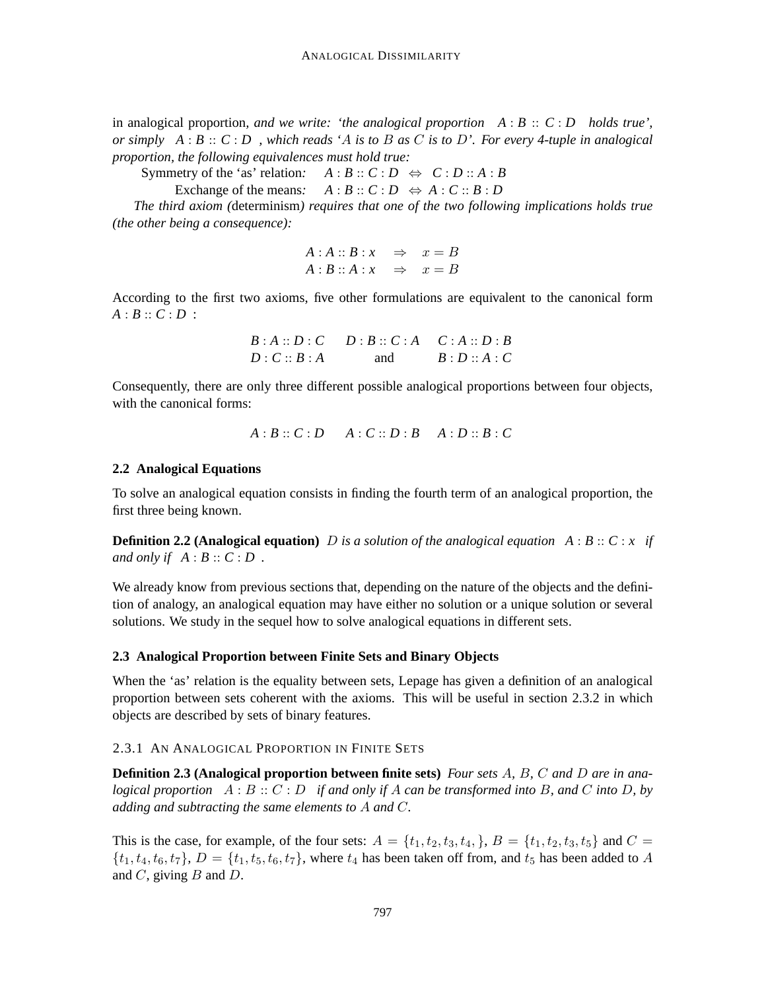in analogical proportion, and we write: 'the analogical proportion  $A : B :: C : D$  holds true', *or simply A* : *B* :: *C* : *D , which reads '*A *is to* B *as* C *is to* D*'. For every 4-tuple in analogical proportion, the following equivalences must hold true:*

Symmetry of the 'as' relation:  $A : B :: C : D \Leftrightarrow C : D :: A : B$ 

Exchange of the means:  $A : B :: C : D \Leftrightarrow A : C :: B : D$ 

*The third axiom (*determinism*) requires that one of the two following implications holds true (the other being a consequence):*

$$
A : A :: B : x \Rightarrow x = B
$$
  

$$
A : B :: A : x \Rightarrow x = B
$$

According to the first two axioms, five other formulations are equivalent to the canonical form  $A : B :: C : D :$ 

$$
B:A::D:C \t D:B::C:A \t C:A::D:B
$$
  
 
$$
D:C::B:A \t and B:D::A:C
$$

Consequently, there are only three different possible analogical proportions between four objects, with the canonical forms:

$$
A:B::C:D \qquad A:C::D:B \qquad A:D::B:C
$$

#### **2.2 Analogical Equations**

To solve an analogical equation consists in finding the fourth term of an analogical proportion, the first three being known.

**Definition 2.2 (Analogical equation)** D *is a solution of the analogical equation A* : *B* :: *C* : *x if and only if*  $A : B :: C : D$ .

We already know from previous sections that, depending on the nature of the objects and the definition of analogy, an analogical equation may have either no solution or a unique solution or several solutions. We study in the sequel how to solve analogical equations in different sets.

### **2.3 Analogical Proportion between Finite Sets and Binary Objects**

When the 'as' relation is the equality between sets, Lepage has given a definition of an analogical proportion between sets coherent with the axioms. This will be useful in section 2.3.2 in which objects are described by sets of binary features.

## 2.3.1 AN ANALOGICAL PROPORTION IN FINITE SETS

**Definition 2.3 (Analogical proportion between finite sets)** *Four sets* A*,* B*,* C *and* D *are in analogical proportion* A : B :: C : D *if and only if* A *can be transformed into* B*, and* C *into* D*, by adding and subtracting the same elements to* A *and* C*.*

This is the case, for example, of the four sets:  $A = \{t_1, t_2, t_3, t_4, \}$ ,  $B = \{t_1, t_2, t_3, t_5\}$  and  $C =$  $\{t_1, t_4, t_6, t_7\}$ ,  $D = \{t_1, t_5, t_6, t_7\}$ , where  $t_4$  has been taken off from, and  $t_5$  has been added to A and  $C$ , giving  $B$  and  $D$ .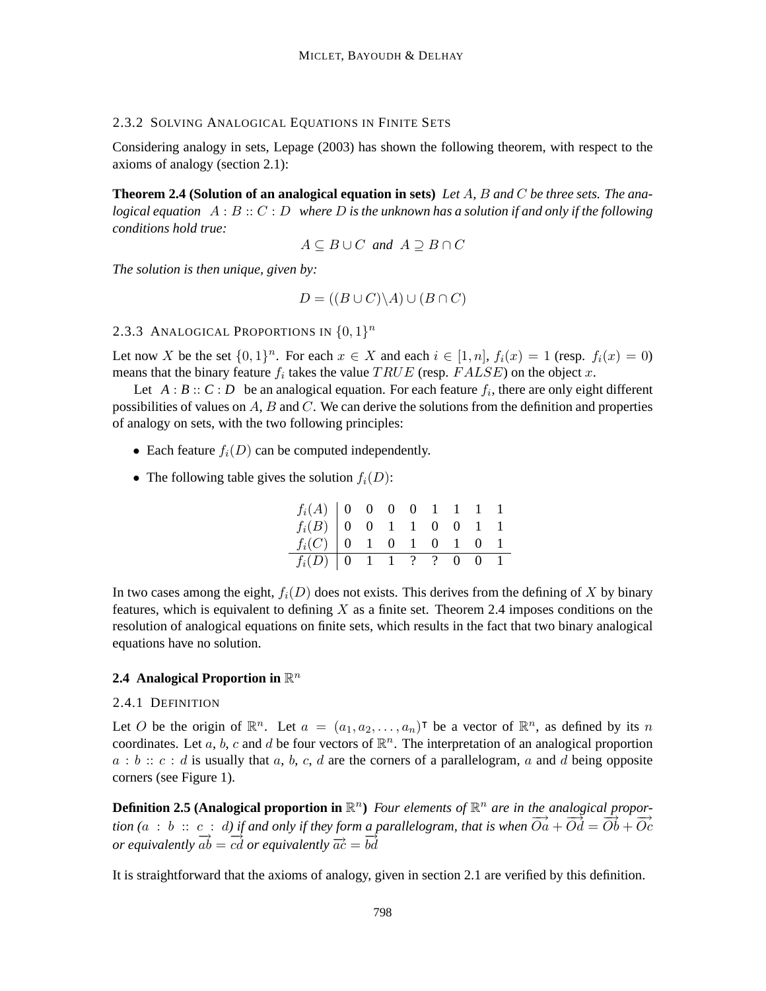## 2.3.2 SOLVING ANALOGICAL EQUATIONS IN FINITE SETS

Considering analogy in sets, Lepage (2003) has shown the following theorem, with respect to the axioms of analogy (section 2.1):

**Theorem 2.4 (Solution of an analogical equation in sets)** *Let* A*,* B *and* C *be three sets. The analogical equation* A : B :: C : D *where* D *is the unknown has a solution if and only if the following conditions hold true:*

 $A \subseteq B \cup C$  *and*  $A \supset B \cap C$ 

*The solution is then unique, given by:*

$$
D = ((B \cup C) \backslash A) \cup (B \cap C)
$$

## 2.3.3 ANALOGICAL PROPORTIONS IN  $\{0,1\}^n$

Let now X be the set  $\{0,1\}^n$ . For each  $x \in X$  and each  $i \in [1,n]$ ,  $f_i(x) = 1$  (resp.  $f_i(x) = 0$ ) means that the binary feature  $f_i$  takes the value  $TRUE$  (resp.  $FALSE$ ) on the object x.

Let  $A : B :: C : D$  be an analogical equation. For each feature  $f_i$ , there are only eight different possibilities of values on  $A$ ,  $B$  and  $C$ . We can derive the solutions from the definition and properties of analogy on sets, with the two following principles:

- Each feature  $f_i(D)$  can be computed independently.
- The following table gives the solution  $f_i(D)$ :

| $f_i(A)$ 0 0 0 0 1 1 1 1<br>$f_i(B)$ 0 0 1 1 0 0 1 1<br>$f_i(C)$ 0 1 0 1 0 1 0 1 |  |  |  |  |
|----------------------------------------------------------------------------------|--|--|--|--|
| $f_i(D)$ 0 1 1 ? ? 0 0 1                                                         |  |  |  |  |

In two cases among the eight,  $f_i(D)$  does not exists. This derives from the defining of X by binary features, which is equivalent to defining  $X$  as a finite set. Theorem 2.4 imposes conditions on the resolution of analogical equations on finite sets, which results in the fact that two binary analogical equations have no solution.

## 2.4 Analogical Proportion in  $\mathbb{R}^n$

### 2.4.1 DEFINITION

Let O be the origin of  $\mathbb{R}^n$ . Let  $a = (a_1, a_2, \ldots, a_n)^\intercal$  be a vector of  $\mathbb{R}^n$ , as defined by its n coordinates. Let a, b, c and d be four vectors of  $\mathbb{R}^n$ . The interpretation of an analogical proportion  $a : b :: c : d$  is usually that a, b, c, d are the corners of a parallelogram, a and d being opposite corners (see Figure 1).

**Definition 2.5 (Analogical proportion in**  $\mathbb{R}^n$ ) Four elements of  $\mathbb{R}^n$  are in the analogical propor- $\frac{d}{d}$  is an  $\frac{d}{d}$  in  $\frac{d}{d}$  is an  $\frac{d}{d}$  is an  $\frac{d}{d}$  is an  $\frac{d}{d}$  is an  $\frac{d}{d}$  is an  $\frac{d}{d}$  is an  $\frac{d}{d}$  is  $\frac{d}{d}$  is an  $\frac{d}{d}$  is an  $\frac{d}{d}$  is  $\frac{d}{d}$  is an  $\frac{d}{d}$  is an  $\frac{d}{$  $\overline{ab}$   $\overline{ab}$  =  $\overline{cd}$  or equivalently  $\overline{ac}$  =  $\overline{bd}$ 

It is straightforward that the axioms of analogy, given in section 2.1 are verified by this definition.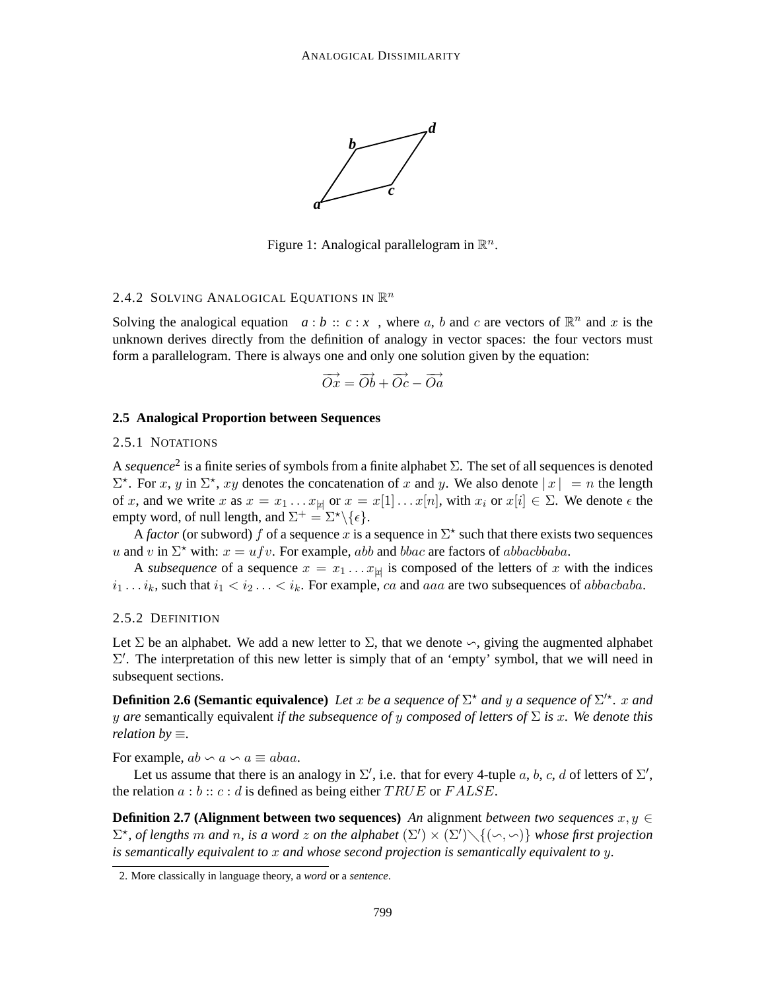

Figure 1: Analogical parallelogram in  $\mathbb{R}^n$ .

## 2.4.2 SOLVING ANALOGICAL EQUATIONS IN  $\mathbb{R}^n$

Solving the analogical equation  $a : b :: c : x$ , where a, b and c are vectors of  $\mathbb{R}^n$  and x is the unknown derives directly from the definition of analogy in vector spaces: the four vectors must form a parallelogram. There is always one and only one solution given by the equation:

$$
\overrightarrow{Ox} = \overrightarrow{Ob} + \overrightarrow{Oc} - \overrightarrow{Oa}
$$

#### **2.5 Analogical Proportion between Sequences**

#### 2.5.1 NOTATIONS

A *sequence*<sup>2</sup> is a finite series of symbols from a finite alphabet Σ. The set of all sequences is denoted  $\Sigma^*$ . For x, y in  $\Sigma^*$ , xy denotes the concatenation of x and y. We also denote  $|x| = n$  the length of x, and we write x as  $x = x_1 \dots x_{\text{td}}$  or  $x = x[1] \dots x[n]$ , with  $x_i$  or  $x[i] \in \Sigma$ . We denote  $\epsilon$  the empty word, of null length, and  $\Sigma^+ = \Sigma^* \backslash \{ \epsilon \}.$ 

A *factor* (or subword) f of a sequence x is a sequence in  $\Sigma^*$  such that there exists two sequences u and v in  $\Sigma^*$  with:  $x = ufv$ . For example, abb and bbac are factors of abbacbbaba.

A *subsequence* of a sequence  $x = x_1 \dots x_{|x|}$  is composed of the letters of x with the indices  $i_1 \ldots i_k$ , such that  $i_1 < i_2 \ldots < i_k$ . For example, ca and aaa are two subsequences of abbacbaba.

#### 2.5.2 DEFINITION

Let  $\Sigma$  be an alphabet. We add a new letter to  $\Sigma$ , that we denote  $\sim$ , giving the augmented alphabet  $\Sigma'$ . The interpretation of this new letter is simply that of an 'empty' symbol, that we will need in subsequent sections.

**Definition 2.6 (Semantic equivalence)** Let x be a sequence of  $\Sigma^*$  and y a sequence of  $\Sigma'^*$ . x and y *are* semantically equivalent *if the subsequence of* y *composed of letters of* Σ *is* x*. We denote this relation by* ≡*.*

For example,  $ab \backsim a \backsim a \equiv abaa$ .

Let us assume that there is an analogy in  $\Sigma'$ , i.e. that for every 4-tuple a, b, c, d of letters of  $\Sigma'$ , the relation  $a : b :: c : d$  is defined as being either  $TRUE$  or  $FALSE$ .

**Definition 2.7 (Alignment between two sequences)** *An* alignment *between two sequences*  $x, y \in$  $\Sigma^*$ , of lengths m and n, is a word z on the alphabet  $(\Sigma') \times (\Sigma') \setminus \{(\neg, \neg) \}$  whose first projection *is semantically equivalent to* x *and whose second projection is semantically equivalent to* y*.*

<sup>2.</sup> More classically in language theory, a *word* or a *sentence*.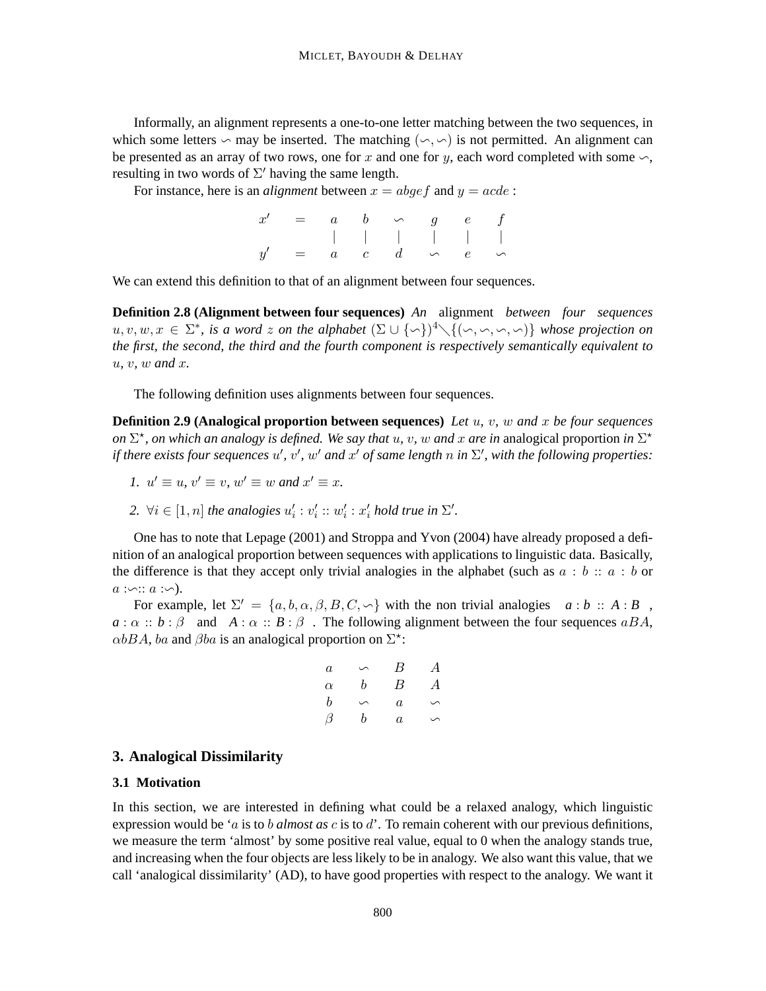Informally, an alignment represents a one-to-one letter matching between the two sequences, in which some letters  $\sim$  may be inserted. The matching  $(\sim, \sim)$  is not permitted. An alignment can be presented as an array of two rows, one for x and one for y, each word completed with some  $\sim$ , resulting in two words of  $\Sigma'$  having the same length.

For instance, here is an *alignment* between  $x = abqef$  and  $y = acde$ :

|  |  | $x' = a \quad b \quad \backsim \quad g \quad e \quad f$ |  |
|--|--|---------------------------------------------------------|--|
|  |  |                                                         |  |
|  |  | $y' = a + c + d \rightarrow e + c$                      |  |

We can extend this definition to that of an alignment between four sequences.

**Definition 2.8 (Alignment between four sequences)** *An* alignment *between four sequences*  $u, v, w, x \in \Sigma^*$ , is a word z on the alphabet  $(\Sigma \cup {\setminus \setminus}^4 \setminus {\setminus (\setminus, \setminus \setminus, \setminus)}$  whose projection on *the first, the second, the third and the fourth component is respectively semantically equivalent to* u*,* v*,* w *and* x*.*

The following definition uses alignments between four sequences.

**Definition 2.9 (Analogical proportion between sequences)** *Let* u*,* v*,* w *and* x *be four sequences on*  $\Sigma^*$ , *on which an analogy is defined. We say that u, v, w and x are in analogical proportion in*  $\Sigma^*$ *if there exists four sequences*  $u'$ ,  $v'$ ,  $w'$  and  $x'$  *of same length* n *in*  $\Sigma'$ , with the following properties:

- *1.*  $u' \equiv u$ ,  $v' \equiv v$ ,  $w' \equiv w$  and  $x' \equiv x$ .
- 2.  $\forall i \in [1, n]$  *the analogies*  $u'_i : v'_i : w'_i : x'_i$  *hold true in*  $\Sigma'$ *.*

One has to note that Lepage (2001) and Stroppa and Yvon (2004) have already proposed a definition of an analogical proportion between sequences with applications to linguistic data. Basically, the difference is that they accept only trivial analogies in the alphabet (such as  $a : b :: a : b$  or  $a : \neg :: a : \neg$ ).

For example, let  $\Sigma' = \{a, b, \alpha, \beta, B, C, \neg\}$  with the non trivial analogies  $a : b :: A : B$ ,  $a : \alpha :: b : \beta$  and  $A : \alpha :: B : \beta$ . The following alignment between the four sequences a BA,  $\alpha bBA$ , ba and  $\beta ba$  is an analogical proportion on  $\Sigma^*$ :

$$
\begin{array}{ccccccc}\n a & \circ & \circ & B & A \\
 \alpha & b & B & A \\
 b & \circ & a & \circ \\
 \beta & b & a & \circ\n \end{array}
$$

## **3. Analogical Dissimilarity**

#### **3.1 Motivation**

In this section, we are interested in defining what could be a relaxed analogy, which linguistic expression would be 'a is to b *almost as* c is to d'. To remain coherent with our previous definitions, we measure the term 'almost' by some positive real value, equal to 0 when the analogy stands true, and increasing when the four objects are less likely to be in analogy. We also want this value, that we call 'analogical dissimilarity' (AD), to have good properties with respect to the analogy. We want it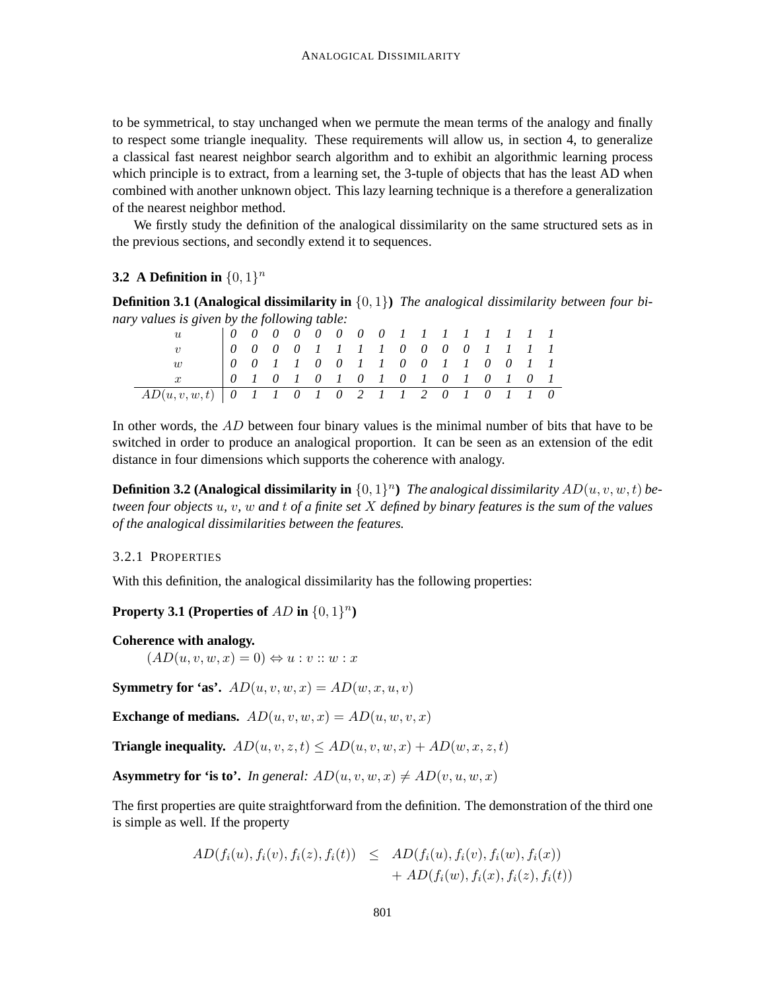to be symmetrical, to stay unchanged when we permute the mean terms of the analogy and finally to respect some triangle inequality. These requirements will allow us, in section 4, to generalize a classical fast nearest neighbor search algorithm and to exhibit an algorithmic learning process which principle is to extract, from a learning set, the 3-tuple of objects that has the least AD when combined with another unknown object. This lazy learning technique is a therefore a generalization of the nearest neighbor method.

We firstly study the definition of the analogical dissimilarity on the same structured sets as in the previous sections, and secondly extend it to sequences.

## **3.2** A Definition in  $\{0, 1\}^n$

**Definition 3.1 (Analogical dissimilarity in** {0, 1}**)** *The analogical dissimilarity between four binary values is given by the following table:*

| $\eta_L$                                                     |                                   |  |  |  | 0 0 0 0 0 0 0 0 1 1 1 1 1 1 1 1 |  |  |  |  |
|--------------------------------------------------------------|-----------------------------------|--|--|--|---------------------------------|--|--|--|--|
|                                                              | $0$ 0 0 0 1 1 1 1 0 0 0 0 1 1 1 1 |  |  |  |                                 |  |  |  |  |
| $\eta$                                                       | 0 0 1 1 0 0 1 1 0 0 1 1 0 0 1 1   |  |  |  |                                 |  |  |  |  |
| $\boldsymbol{r}$                                             |                                   |  |  |  | 0 1 0 1 0 1 0 1 0 1 0 1 0 1 0 1 |  |  |  |  |
| $AD(u, v, w, t)$   0   1   0   0   0   1   2   0   0   1   0 |                                   |  |  |  |                                 |  |  |  |  |

In other words, the  $AD$  between four binary values is the minimal number of bits that have to be switched in order to produce an analogical proportion. It can be seen as an extension of the edit distance in four dimensions which supports the coherence with analogy.

**Definition 3.2 (Analogical dissimilarity in**  $\{0,1\}^n$ ) The analogical dissimilarity  $AD(u, v, w, t)$  be*tween four objects* u*,* v*,* w *and* t *of a finite set* X *defined by binary features is the sum of the values of the analogical dissimilarities between the features.*

## 3.2.1 PROPERTIES

With this definition, the analogical dissimilarity has the following properties:

## **Property 3.1** (Properties of  $AD$  in  $\{0,1\}^n$ )

#### **Coherence with analogy.**

 $(AD(u, v, w, x) = 0) \Leftrightarrow u : v :: w : x$ 

**Symmetry for 'as'.**  $AD(u, v, w, x) = AD(w, x, u, v)$ 

**Exchange of medians.**  $AD(u, v, w, x) = AD(u, w, v, x)$ 

**Triangle inequality.**  $AD(u, v, z, t) \le AD(u, v, w, x) + AD(w, x, z, t)$ 

**Asymmetry for 'is to'.** *In general:*  $AD(u, v, w, x) \neq AD(v, u, w, x)$ 

The first properties are quite straightforward from the definition. The demonstration of the third one is simple as well. If the property

$$
AD(f_i(u), f_i(v), f_i(z), f_i(t)) \leq AD(f_i(u), f_i(v), f_i(w), f_i(x)) + AD(f_i(w), f_i(z), f_i(z), f_i(t))
$$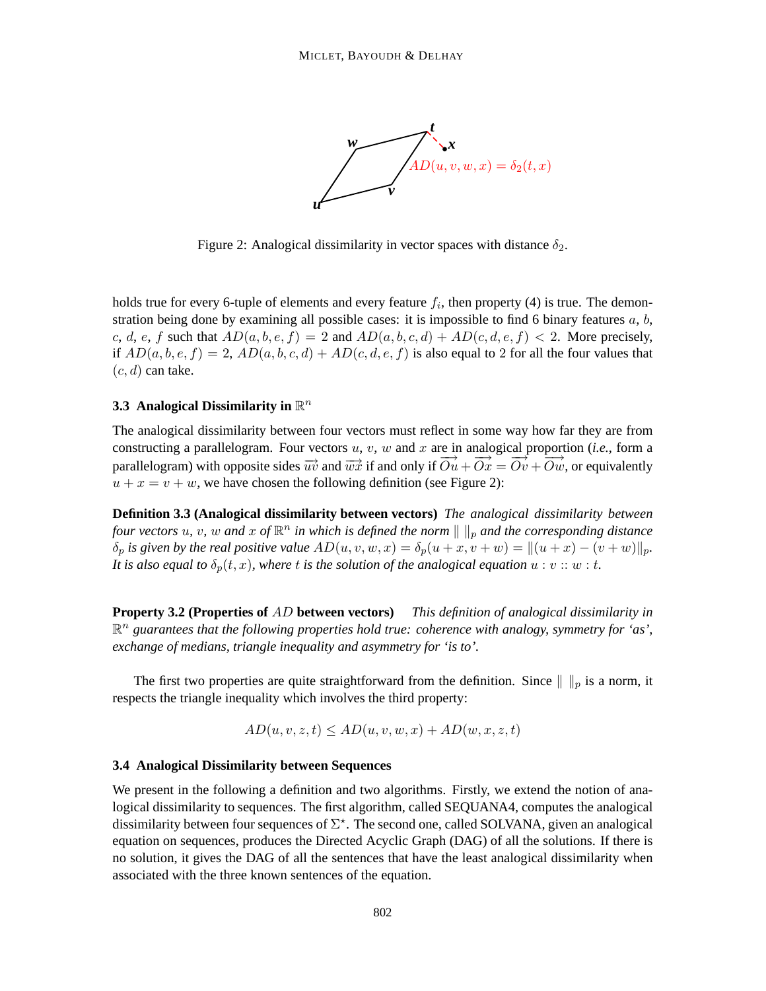

Figure 2: Analogical dissimilarity in vector spaces with distance  $\delta_2$ .

holds true for every 6-tuple of elements and every feature  $f_i$ , then property (4) is true. The demonstration being done by examining all possible cases: it is impossible to find 6 binary features  $a, b$ , c, d, e, f such that  $AD(a, b, e, f) = 2$  and  $AD(a, b, c, d) + AD(c, d, e, f) < 2$ . More precisely, if  $AD(a, b, e, f) = 2$ ,  $AD(a, b, c, d) + AD(c, d, e, f)$  is also equal to 2 for all the four values that  $(c, d)$  can take.

## **3.3 Analogical Dissimilarity in**  $\mathbb{R}^n$

The analogical dissimilarity between four vectors must reflect in some way how far they are from constructing a parallelogram. Four vectors  $u, v, w$  and  $x$  are in analogical proportion (*i.e.*, form a parallelogram) with opposite sides  $\overrightarrow{uv}$  and  $\overrightarrow{wx}$  if and only if  $\overrightarrow{Ou} + \overrightarrow{Ox} = \overrightarrow{Ov} + \overrightarrow{Ow}$ , or equivalently  $u + x = v + w$ , we have chosen the following definition (see Figure 2):

**Definition 3.3 (Analogical dissimilarity between vectors)** *The analogical dissimilarity between four vectors*  $u$ ,  $v$ ,  $w$  and  $x$  of  $\mathbb{R}^n$  in which is defined the norm  $\|\ \|_p$  and the corresponding distance  $\delta_p$  *is given by the real positive value*  $AD(u, v, w, x) = \delta_p(u + x, v + w) = ||(u + x) - (v + w)||_p$ . *It is also equal to*  $\delta_p(t, x)$ *, where t is the solution of the analogical equation*  $u : v :: w : t$ *.* 

**Property 3.2 (Properties of** AD **between vectors)** *This definition of analogical dissimilarity in*  $\mathbb{R}^n$  guarantees that the following properties hold true: coherence with analogy, symmetry for 'as', *exchange of medians, triangle inequality and asymmetry for 'is to'.*

The first two properties are quite straightforward from the definition. Since  $\|\ \|_p$  is a norm, it respects the triangle inequality which involves the third property:

$$
AD(u, v, z, t) \le AD(u, v, w, x) + AD(w, x, z, t)
$$

#### **3.4 Analogical Dissimilarity between Sequences**

We present in the following a definition and two algorithms. Firstly, we extend the notion of analogical dissimilarity to sequences. The first algorithm, called SEQUANA4, computes the analogical dissimilarity between four sequences of  $\Sigma^*$ . The second one, called SOLVANA, given an analogical equation on sequences, produces the Directed Acyclic Graph (DAG) of all the solutions. If there is no solution, it gives the DAG of all the sentences that have the least analogical dissimilarity when associated with the three known sentences of the equation.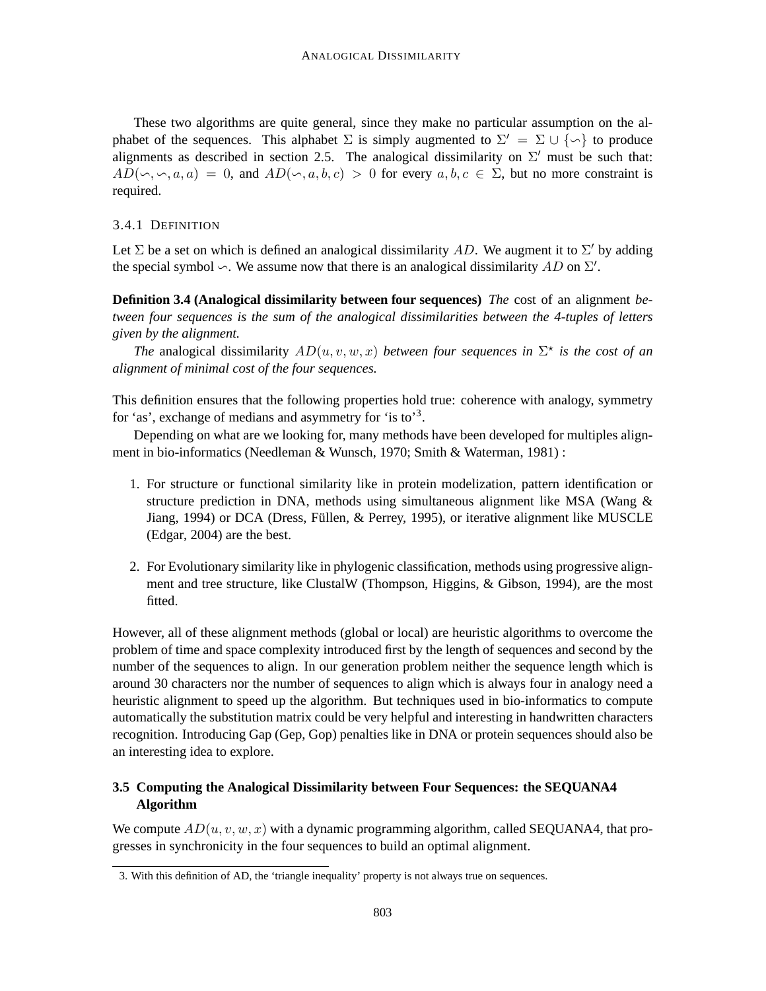These two algorithms are quite general, since they make no particular assumption on the alphabet of the sequences. This alphabet  $\Sigma$  is simply augmented to  $\Sigma' = \Sigma \cup {\set{\sim}}$  to produce alignments as described in section 2.5. The analogical dissimilarity on  $\Sigma'$  must be such that:  $AD(\neg, \neg, a, a) = 0$ , and  $AD(\neg, a, b, c) > 0$  for every  $a, b, c \in \Sigma$ , but no more constraint is required.

#### 3.4.1 DEFINITION

Let  $\Sigma$  be a set on which is defined an analogical dissimilarity AD. We augment it to  $\Sigma'$  by adding the special symbol  $\sim$ . We assume now that there is an analogical dissimilarity AD on  $\Sigma'$ .

**Definition 3.4 (Analogical dissimilarity between four sequences)** *The* cost of an alignment *between four sequences is the sum of the analogical dissimilarities between the 4-tuples of letters given by the alignment.*

*The* analogical dissimilarity  $AD(u, v, w, x)$  *between four sequences in*  $\Sigma^*$  *is the cost of an alignment of minimal cost of the four sequences.*

This definition ensures that the following properties hold true: coherence with analogy, symmetry for 'as', exchange of medians and asymmetry for 'is to'<sup>3</sup>.

Depending on what are we looking for, many methods have been developed for multiples alignment in bio-informatics (Needleman & Wunsch, 1970; Smith & Waterman, 1981) :

- 1. For structure or functional similarity like in protein modelization, pattern identification or structure prediction in DNA, methods using simultaneous alignment like MSA (Wang & Jiang, 1994) or DCA (Dress, Füllen, & Perrey, 1995), or iterative alignment like MUSCLE (Edgar, 2004) are the best.
- 2. For Evolutionary similarity like in phylogenic classification, methods using progressive alignment and tree structure, like ClustalW (Thompson, Higgins, & Gibson, 1994), are the most fitted.

However, all of these alignment methods (global or local) are heuristic algorithms to overcome the problem of time and space complexity introduced first by the length of sequences and second by the number of the sequences to align. In our generation problem neither the sequence length which is around 30 characters nor the number of sequences to align which is always four in analogy need a heuristic alignment to speed up the algorithm. But techniques used in bio-informatics to compute automatically the substitution matrix could be very helpful and interesting in handwritten characters recognition. Introducing Gap (Gep, Gop) penalties like in DNA or protein sequences should also be an interesting idea to explore.

## **3.5 Computing the Analogical Dissimilarity between Four Sequences: the SEQUANA4 Algorithm**

We compute  $AD(u, v, w, x)$  with a dynamic programming algorithm, called SEQUANA4, that progresses in synchronicity in the four sequences to build an optimal alignment.

<sup>3.</sup> With this definition of AD, the 'triangle inequality' property is not always true on sequences.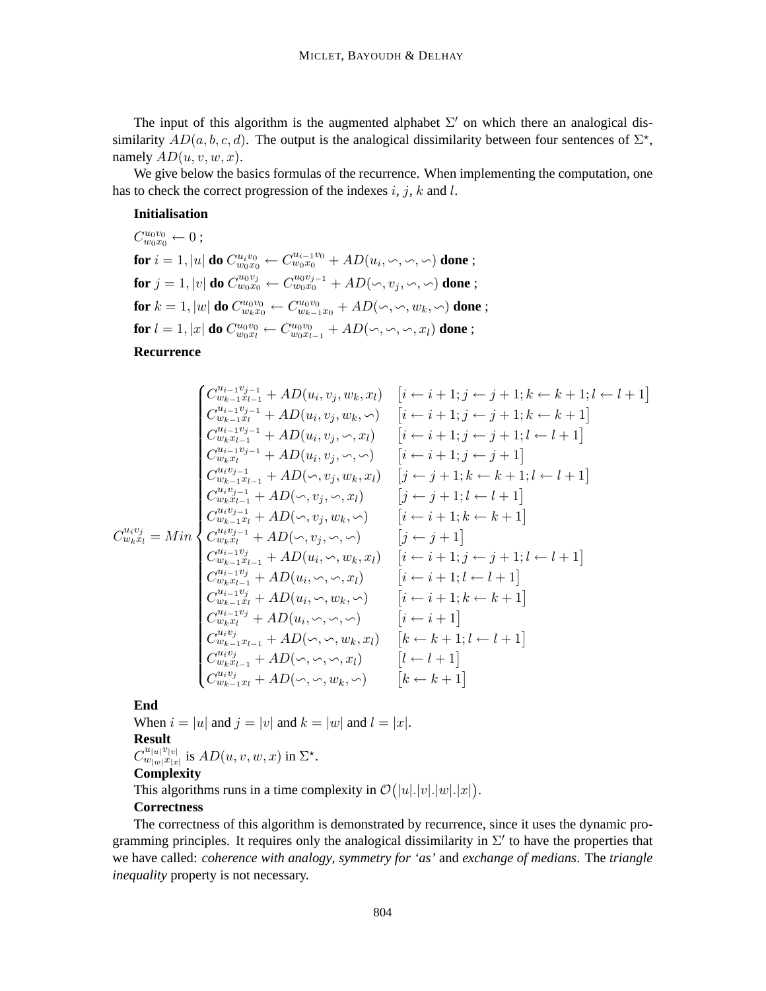The input of this algorithm is the augmented alphabet  $\Sigma'$  on which there an analogical dissimilarity  $AD(a, b, c, d)$ . The output is the analogical dissimilarity between four sentences of  $\Sigma^*$ , namely  $AD(u, v, w, x)$ .

We give below the basics formulas of the recurrence. When implementing the computation, one has to check the correct progression of the indexes  $i, j, k$  and l.

#### **Initialisation**

 $C_{w_0x_0}^{u_0v_0} \leftarrow 0;$  $\textbf{for } i=1, |u| \textbf{ do } C_{w_0x_0}^{u_iv_0} \leftarrow C_{w_0x_0}^{u_{i-1}v_0}+ AD(u_i,\mathord{\backsim},\mathord{\backsim},\mathord{\backsim}) \textbf{ done ; }$  ${\bf for}\ j=1,|v|$  do  $C^{u_0v_j}_{w_0x_0}\leftarrow C^{u_0v_{j-1}}_{w_0x_0}+AD(\backsim, v_j, \backsim, \backsim)$  done ; for  $k = 1, |w|$  do  $C_{w_k x_0}^{u_0 v_0} \leftarrow C_{w_{k-1} x_0}^{u_0 v_0} + AD(\sim, \sim, w_k, \sim)$  done ; **for**  $l = 1, |x|$  **do**  $C_{w_0 x_l}^{u_0 v_0} \leftarrow C_{w_0 x_{l-1}}^{u_0 v_0} + AD(\sim, \sim, \sim, x_l)$  **done** ;

**Recurrence**

$$
\begin{cases}\nC_{w_{k-1}x_{l-1}}^{u_{i-1}v_{j-1}} + AD(u_i, v_j, w_k, x_l) & [i \leftarrow i+1; j \leftarrow j+1; k \leftarrow k+1; l \leftarrow l+1] \\
C_{w_{k-1}x_{l-1}}^{u_{i-1}v_{j-1}} + AD(u_i, v_j, w_k, \backsim) & [i \leftarrow i+1; j \leftarrow j+1; k \leftarrow k+1] \\
C_{w_{k}x_{l-1}}^{u_{i-1}v_{j-1}} + AD(u_i, v_j, \backslash, x_l) & [i \leftarrow i+1; j \leftarrow j+1; l \leftarrow l+1] \\
C_{w_{k}x_{l-1}}^{u_{i-1}v_{j-1}} + AD(u_i, v_j, \backslash, \backslash) & [i \leftarrow i+1; j \leftarrow j+1] \\
C_{w_{k-1}x_{l-1}}^{u_{i}v_{j-1}} + AD(\backslash, v_j, w_k, x_l) & [j \leftarrow j+1; k \leftarrow k+1; l \leftarrow l+1] \\
C_{w_{k}x_{l-1}}^{u_{i}v_{j-1}} + AD(\backslash, v_j, w_k, \backslash) & [j \leftarrow j+1; l \leftarrow l+1] \\
C_{w_{k}x_{l-1}}^{u_{i}v_{j-1}} + AD(\backslash, v_j, w_k, \backslash) & [i \leftarrow i+1; k \leftarrow k+1] \\
C_{w_{k}x_{l}}^{u_{i}v_{j-1}} + AD(\backslash, v_j, w_k, \backslash) & [i \leftarrow i+1; k \leftarrow k+1] \\
C_{w_{k}x_{l}}^{u_{i}v_{j-1}} + AD(u_i, \backslash, w_k, x_l) & [i \leftarrow i+1; j \leftarrow j+1; l \leftarrow l+1] \\
C_{w_{k}x_{l-1}}^{u_{i}v_{j}} + AD(u_i, \backslash, v_k, x_l) & [i \leftarrow i+1; j \leftarrow j+1; l \leftarrow l+1] \\
C_{w_{k}x_{l-1}}^{u_{i}v_{j}} + AD(u_i, \backslash, v_k, \backslash) & [i \leftarrow i+1; k \leftarrow k+1] \\
C_{w_{k}x_{l-1}}^{u_{i}v_{j}} + AD(u_i, \backslash, w_k, \backslash) &
$$

## **End**

When  $i = |u|$  and  $j = |v|$  and  $k = |w|$  and  $l = |x|$ . **Result**  $C^{u_{|u|}v_{|v|}}_{w_{|w|}x_{|x}}$  $\sum_{w|w|x|x|}^{u|w|v|v|}$  is  $AD(u, v, w, x)$  in  $\Sigma^*$ . **Complexity**

This algorithms runs in a time complexity in  $\mathcal{O}(|u|.|w|.|w|.|x|)$ .

## **Correctness**

The correctness of this algorithm is demonstrated by recurrence, since it uses the dynamic programming principles. It requires only the analogical dissimilarity in  $\Sigma'$  to have the properties that we have called: *coherence with analogy*, *symmetry for 'as'* and *exchange of medians*. The *triangle inequality* property is not necessary.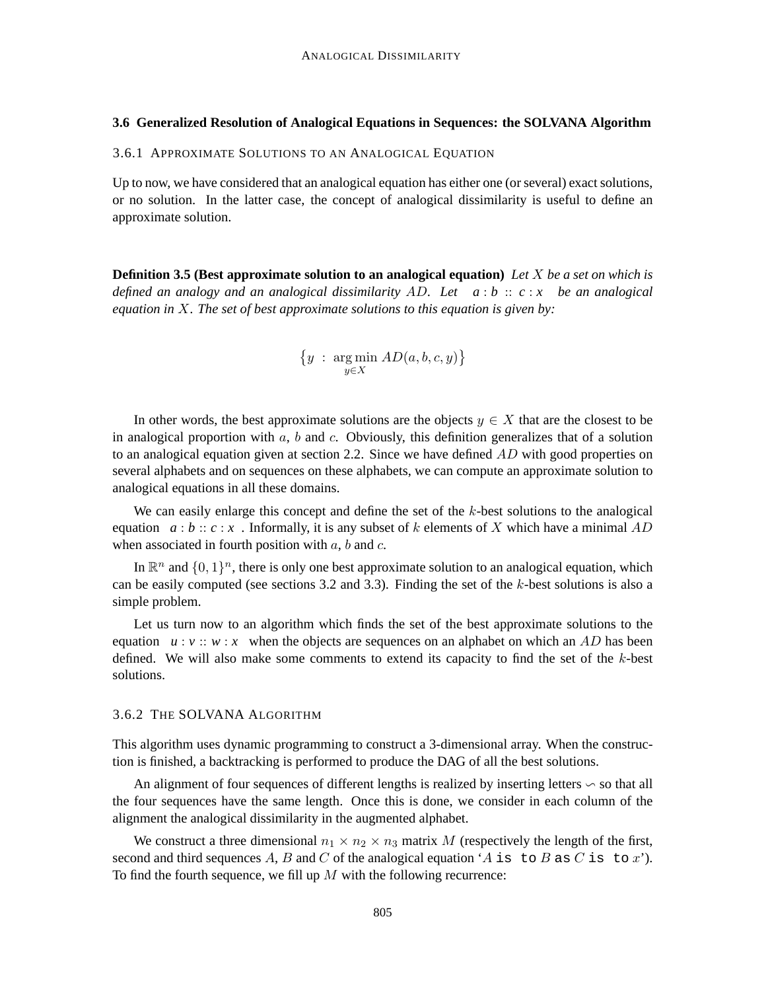#### **3.6 Generalized Resolution of Analogical Equations in Sequences: the SOLVANA Algorithm**

3.6.1 APPROXIMATE SOLUTIONS TO AN ANALOGICAL EQUATION

Up to now, we have considered that an analogical equation has either one (or several) exact solutions, or no solution. In the latter case, the concept of analogical dissimilarity is useful to define an approximate solution.

**Definition 3.5 (Best approximate solution to an analogical equation)** *Let* X *be a set on which is defined an analogy and an analogical dissimilarity* AD*. Let a* : *b* :: *c* : *x be an analogical equation in* X*. The set of best approximate solutions to this equation is given by:*

$$
\left\{y \;:\; \argmin_{y\in X} \, AD(a,b,c,y)\right\}
$$

In other words, the best approximate solutions are the objects  $y \in X$  that are the closest to be in analogical proportion with  $a, b$  and c. Obviously, this definition generalizes that of a solution to an analogical equation given at section 2.2. Since we have defined  $AD$  with good properties on several alphabets and on sequences on these alphabets, we can compute an approximate solution to analogical equations in all these domains.

We can easily enlarge this concept and define the set of the k-best solutions to the analogical equation  $a:b:: c:x$ . Informally, it is any subset of k elements of X which have a minimal AD when associated in fourth position with  $a$ ,  $b$  and  $c$ .

In  $\mathbb{R}^n$  and  $\{0,1\}^n$ , there is only one best approximate solution to an analogical equation, which can be easily computed (see sections  $3.2$  and  $3.3$ ). Finding the set of the k-best solutions is also a simple problem.

Let us turn now to an algorithm which finds the set of the best approximate solutions to the equation  $u : v :: w : x$  when the objects are sequences on an alphabet on which an AD has been defined. We will also make some comments to extend its capacity to find the set of the  $k$ -best solutions.

#### 3.6.2 THE SOLVANA ALGORITHM

This algorithm uses dynamic programming to construct a 3-dimensional array. When the construction is finished, a backtracking is performed to produce the DAG of all the best solutions.

An alignment of four sequences of different lengths is realized by inserting letters ∽ so that all the four sequences have the same length. Once this is done, we consider in each column of the alignment the analogical dissimilarity in the augmented alphabet.

We construct a three dimensional  $n_1 \times n_2 \times n_3$  matrix M (respectively the length of the first, second and third sequences A, B and C of the analogical equation 'A is to B as C is to x'). To find the fourth sequence, we fill up  $M$  with the following recurrence: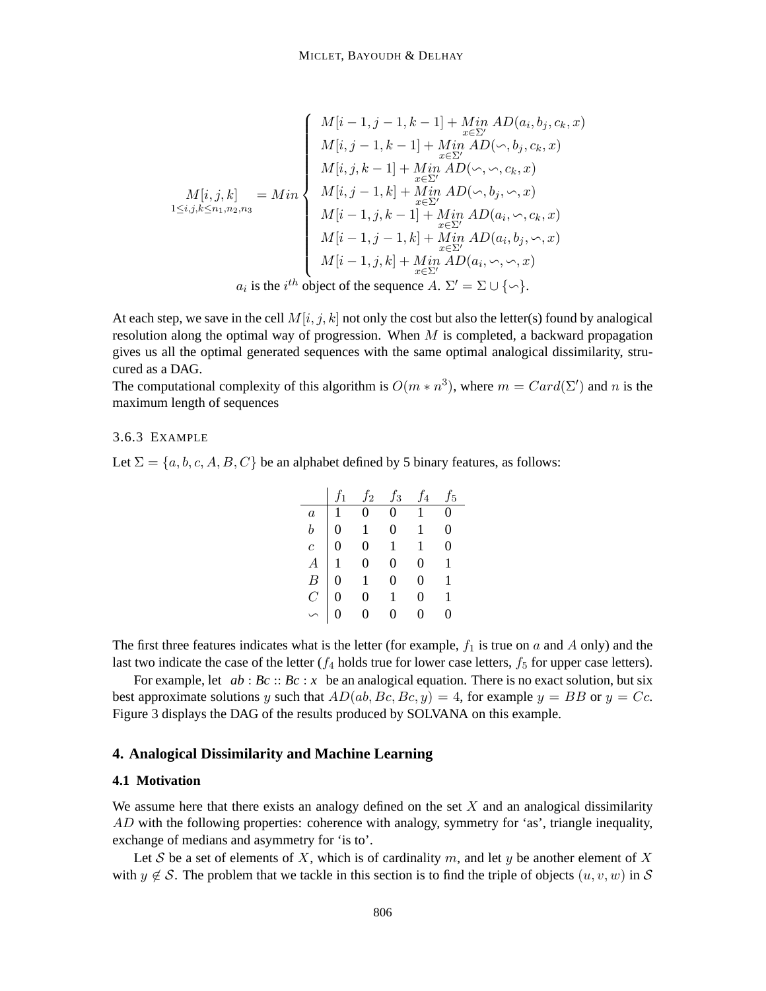$$
M[i,j,k] = Min \begin{cases} M[i-1,j-1,k-1] + Min \, AD(a_i,b_j,c_k,x) \\ M[i,j-1,k-1] + Min \, AD(\sim,b_j,c_k,x) \\ M[i,j,k-1] + Min \, AD(\sim,\sim,c_k,x) \\ M[i,j,k-1] + Min \, AD(\sim,b_j,\sim,x) \\ M[i,j-1,k] + Min \, AD(\sim,b_j,\sim,x) \\ M[i-1,j,k-1] + Min \, AD(a_i,\sim,c_k,x) \\ M[i-1,j-1,k] + Min \, AD(a_i,b_j,\sim,x) \\ M[i-1,j,k] + Min \, AD(a_i,b_j,\sim,x) \\ M[i-1,j,k] + Min \, AD(a_i,\sim,\sim,x) \\ M[i-1,j,k] + Min \, AD(a_i,\sim,\sim,x) \\ \end{cases}
$$

At each step, we save in the cell  $M[i, j, k]$  not only the cost but also the letter(s) found by analogical resolution along the optimal way of progression. When  $M$  is completed, a backward propagation gives us all the optimal generated sequences with the same optimal analogical dissimilarity, strucured as a DAG.

The computational complexity of this algorithm is  $O(m \ast n^3)$ , where  $m = Card(\Sigma')$  and n is the maximum length of sequences

## 3.6.3 EXAMPLE

Let  $\Sigma = \{a, b, c, A, B, C\}$  be an alphabet defined by 5 binary features, as follows:

|                  |   | $f_2$          | $f_3$            | $\overline{4}$ | ້5       |
|------------------|---|----------------|------------------|----------------|----------|
| $\boldsymbol{a}$ |   | $\overline{0}$ | $\overline{0}$   | $\mathbf{1}$   | $\Omega$ |
| $\boldsymbol{b}$ | 0 | 1              | $\boldsymbol{0}$ | 1              | 0        |
| $\overline{c}$   | 0 | $\overline{0}$ | 1                | 1              | 0        |
| А                |   | $\overline{0}$ | $\Omega$         | 0              | 1        |
| $\boldsymbol{B}$ |   | 1              | $\Omega$         | 0              |          |
| $\overline{C}$   |   | 0              | 1                | 0              | 1        |
|                  |   |                |                  |                | 0        |

The first three features indicates what is the letter (for example,  $f_1$  is true on a and A only) and the last two indicate the case of the letter  $(f_4$  holds true for lower case letters,  $f_5$  for upper case letters).

For example, let *ab* : *Bc* :: *Bc* : *x* be an analogical equation. There is no exact solution, but six best approximate solutions y such that  $AD(ab, Bc, Bc, y) = 4$ , for example  $y = BB$  or  $y = Cc$ . Figure 3 displays the DAG of the results produced by SOLVANA on this example.

## **4. Analogical Dissimilarity and Machine Learning**

#### **4.1 Motivation**

We assume here that there exists an analogy defined on the set  $X$  and an analogical dissimilarity AD with the following properties: coherence with analogy, symmetry for 'as', triangle inequality, exchange of medians and asymmetry for 'is to'.

Let S be a set of elements of X, which is of cardinality m, and let y be another element of X with  $y \notin S$ . The problem that we tackle in this section is to find the triple of objects  $(u, v, w)$  in S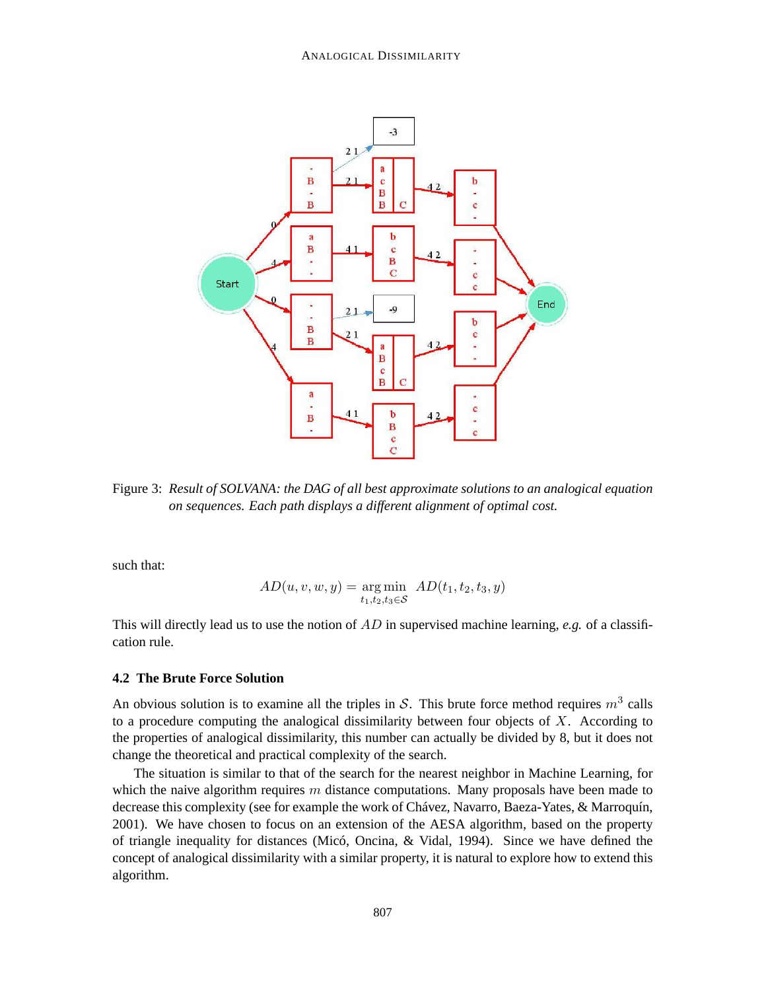

Figure 3: *Result of SOLVANA: the DAG of all best approximate solutions to an analogical equation on sequences. Each path displays a different alignment of optimal cost.*

such that:

$$
AD(u, v, w, y) = \underset{t_1, t_2, t_3 \in \mathcal{S}}{\arg \min} AD(t_1, t_2, t_3, y)
$$

This will directly lead us to use the notion of  $AD$  in supervised machine learning, *e.g.* of a classification rule.

#### **4.2 The Brute Force Solution**

An obvious solution is to examine all the triples in S. This brute force method requires  $m^3$  calls to a procedure computing the analogical dissimilarity between four objects of  $X$ . According to the properties of analogical dissimilarity, this number can actually be divided by 8, but it does not change the theoretical and practical complexity of the search.

The situation is similar to that of the search for the nearest neighbor in Machine Learning, for which the naive algorithm requires  $m$  distance computations. Many proposals have been made to decrease this complexity (see for example the work of Chávez, Navarro, Baeza-Yates, & Marroquín, 2001). We have chosen to focus on an extension of the AESA algorithm, based on the property of triangle inequality for distances (Micó, Oncina, & Vidal, 1994). Since we have defined the concept of analogical dissimilarity with a similar property, it is natural to explore how to extend this algorithm.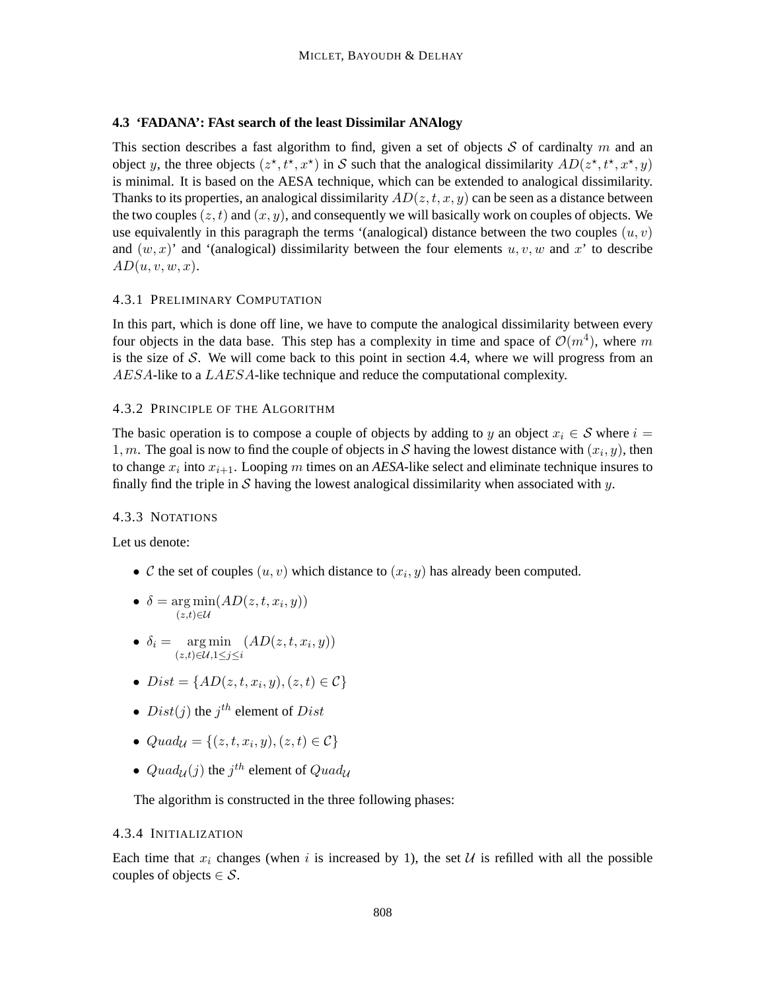## **4.3 'FADANA': FAst search of the least Dissimilar ANAlogy**

This section describes a fast algorithm to find, given a set of objects S of cardinalty m and an object y, the three objects  $(z^*, t^*, x^*)$  in S such that the analogical dissimilarity  $AD(z^*, t^*, x^*, y)$ is minimal. It is based on the AESA technique, which can be extended to analogical dissimilarity. Thanks to its properties, an analogical dissimilarity  $AD(z, t, x, y)$  can be seen as a distance between the two couples  $(z, t)$  and  $(x, y)$ , and consequently we will basically work on couples of objects. We use equivalently in this paragraph the terms '(analogical) distance between the two couples  $(u, v)$ and  $(w, x)$  and '(analogical) dissimilarity between the four elements  $u, v, w$  and x' to describe  $AD(u, v, w, x).$ 

## 4.3.1 PRELIMINARY COMPUTATION

In this part, which is done off line, we have to compute the analogical dissimilarity between every four objects in the data base. This step has a complexity in time and space of  $\mathcal{O}(m^4)$ , where m is the size of  $S$ . We will come back to this point in section 4.4, where we will progress from an AESA-like to a LAESA-like technique and reduce the computational complexity.

### 4.3.2 PRINCIPLE OF THE ALGORITHM

The basic operation is to compose a couple of objects by adding to y an object  $x_i \in S$  where  $i =$ 1, m. The goal is now to find the couple of objects in S having the lowest distance with  $(x_i, y)$ , then to change  $x_i$  into  $x_{i+1}$ . Looping m times on an *AESA*-like select and eliminate technique insures to finally find the triple in S having the lowest analogical dissimilarity when associated with y.

#### 4.3.3 NOTATIONS

Let us denote:

- C the set of couples  $(u, v)$  which distance to  $(x_i, y)$  has already been computed.
- $\delta = \arg \min (AD(z, t, x_i, y))$  $(z,t) \in \mathcal{U}$
- $\delta_i = \arg \min$  $(z,t) ∈ U, 1 ≤ j ≤ i$  $(AD(z,t,x_i,y))$
- $Dist = \{AD(z, t, x_i, y), (z, t) \in C\}$
- $Dist(j)$  the  $j<sup>th</sup>$  element of  $Dist$
- $Quad_{\mathcal{U}} = \{ (z, t, x_i, y), (z, t) \in \mathcal{C} \}$
- $Quad_{\mathcal{U}}(j)$  the  $j^{th}$  element of  $Quad_{\mathcal{U}}$

The algorithm is constructed in the three following phases:

## 4.3.4 INITIALIZATION

Each time that  $x_i$  changes (when i is increased by 1), the set U is refilled with all the possible couples of objects  $\in \mathcal{S}$ .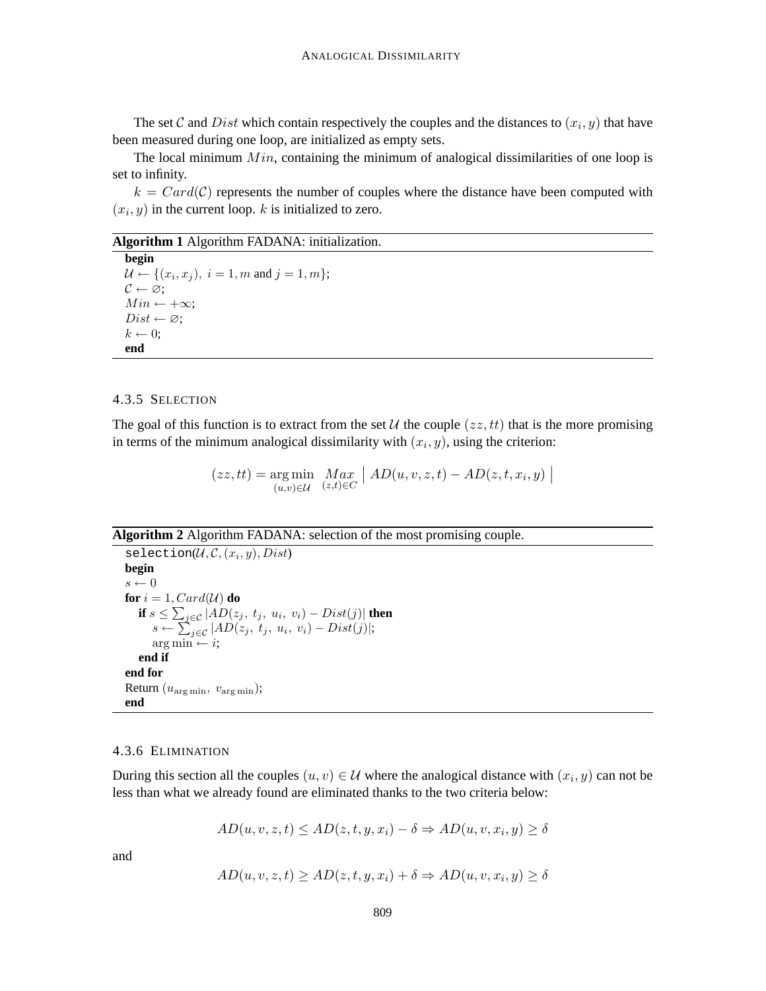The set C and Dist which contain respectively the couples and the distances to  $(x_i, y)$  that have been measured during one loop, are initialized as empty sets.

The local minimum  $Min$ , containing the minimum of analogical dissimilarities of one loop is set to infinity.

 $k = Card(C)$  represents the number of couples where the distance have been computed with  $(x_i, y)$  in the current loop. k is initialized to zero.

#### **Algorithm 1** Algorithm FADANA: initialization.

**begin**  $\mathcal{U} \leftarrow \{(x_i, x_j), i = 1, m \text{ and } j = 1, m\};$  $C \leftarrow \varnothing;$  $Min \leftarrow +\infty;$  $Dist \leftarrow \varnothing;$  $k \leftarrow 0$ : **end**

#### 4.3.5 SELECTION

The goal of this function is to extract from the set U the couple  $(zz, tt)$  that is the more promising in terms of the minimum analogical dissimilarity with  $(x_i, y)$ , using the criterion:

> $(zz, tt) = \arg \min$  $(u,v)∈U$  $Max_{(z,t)\in C}$  $\big\vert\ AD(u,v,z,t)-AD(z,t,x_i,y)\ \big\vert$

**Algorithm 2** Algorithm FADANA: selection of the most promising couple.

 $\texttt{selection}(\mathcal{U}, \mathcal{C}, (x_i, y), Dist)$ **begin**  $s \leftarrow 0$ **for**  $i = 1$ , Card( $\mathcal{U}$ ) **do if**  $s \leq \sum_{j \in \mathcal{C}} |AD(z_j,~t_j,~u_i,~v_i) - Dist(j)|$  **then**  $s \leftarrow \sum_{j \in \mathcal{C}}^{\infty} |AD(z_j, t_j, u_i, v_i) - Dist(j)|;$  $arg min \leftarrow i$ ; **end if end for** Return  $(u_{\arg\min}, v_{\arg\min});$ **end**

### 4.3.6 ELIMINATION

During this section all the couples  $(u, v) \in \mathcal{U}$  where the analogical distance with  $(x_i, y)$  can not be less than what we already found are eliminated thanks to the two criteria below:

$$
AD(u, v, z, t) \le AD(z, t, y, x_i) - \delta \Rightarrow AD(u, v, x_i, y) \ge \delta
$$

and

$$
AD(u, v, z, t) \ge AD(z, t, y, x_i) + \delta \Rightarrow AD(u, v, x_i, y) \ge \delta
$$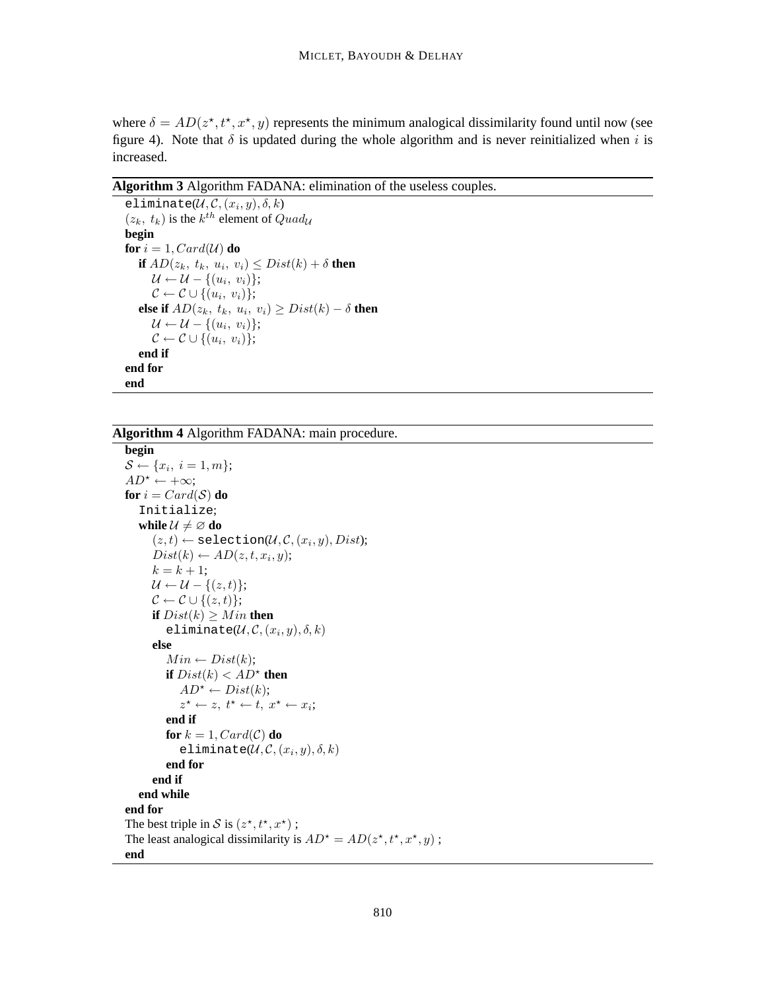where  $\delta = AD(z^*, t^*, x^*, y)$  represents the minimum analogical dissimilarity found until now (see figure 4). Note that  $\delta$  is updated during the whole algorithm and is never reinitialized when i is increased.

**Algorithm 3** Algorithm FADANA: elimination of the useless couples.

```
eliminate(\mathcal{U}, \mathcal{C}, (x_i, y), \delta, k)(z_k, t_k) is the k^{th} element of Quad_{\mathcal{U}}begin
for i = 1, Card(U) do
     if AD(z_k, t_k, u_i, v_i) \le Dist(k) + \delta then
         \mathcal{U} \leftarrow \mathcal{U} - \{(u_i, v_i)\};\mathcal{C} \leftarrow \mathcal{C} \cup \{(u_i, v_i)\};else if AD(z_k, t_k, u_i, v_i) \ge Dist(k) - \delta then
         \mathcal{U} \leftarrow \mathcal{U} - \{(u_i, v_i)\};\mathcal{C} \leftarrow \mathcal{C} \cup \{(u_i, v_i)\};end if
end for
end
```
**Algorithm 4** Algorithm FADANA: main procedure.

```
begin
S \leftarrow \{x_i, i = 1, m\};AD^* \leftarrow +\infty;for i = Card(S) do
   Initialize;
   while \mathcal{U} \neq \emptyset do
        (z,t) \leftarrow \texttt{selection}(\mathcal{U}, \mathcal{C}, (x_i, y), Dist);Dist(k) \leftarrow AD(z, t, x_i, y);k = k + 1;\mathcal{U} \leftarrow \mathcal{U} - \{(z, t)\};\mathcal{C} \leftarrow \mathcal{C} \cup \{(z,t)\};if Dist(k) \geq Min then
           eliminate(\mathcal{U}, \mathcal{C}, (x_i, y), \delta, k)else
           Min \leftarrow Dist(k);if Dist(k) < AD^* then
               AD^* \leftarrow Dist(k);z^* \leftarrow z, t^* \leftarrow t, x^* \leftarrow x_i;end if
           for k = 1, Card(C) do
               eliminate(\mathcal{U}, \mathcal{C}, (x_i, y), \delta, k)end for
       end if
   end while
end for
The best triple in S is (z^*, t^*, x^*);
The least analogical dissimilarity is AD^* = AD(z^*, t^*, x^*, y);
end
```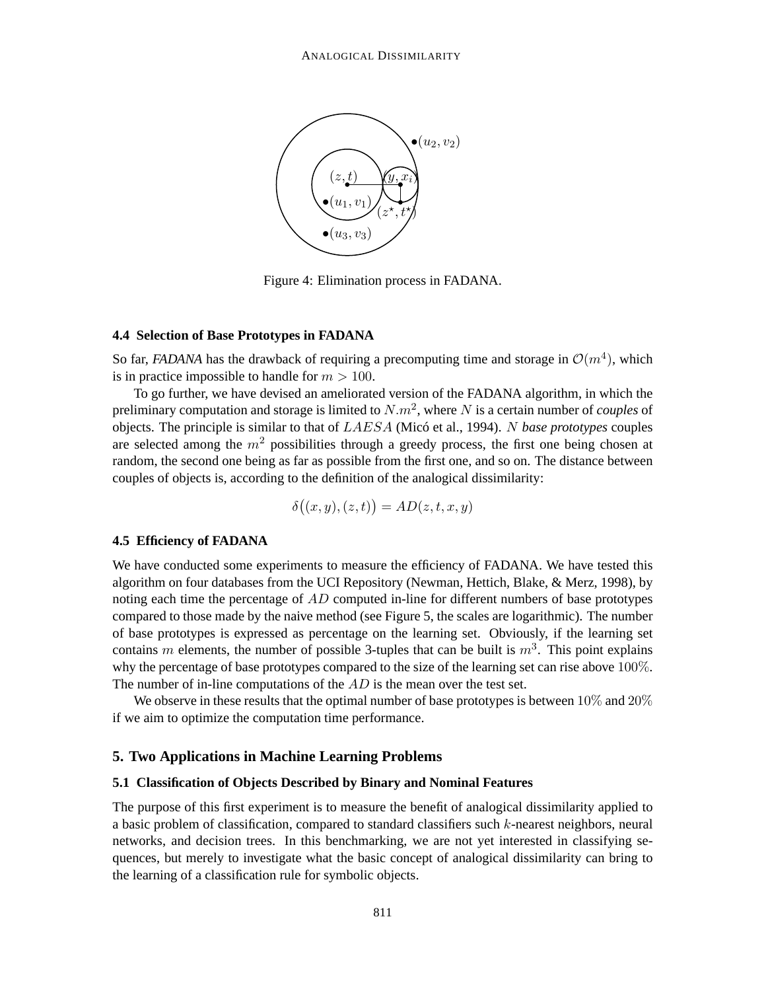

Figure 4: Elimination process in FADANA.

#### **4.4 Selection of Base Prototypes in FADANA**

So far, *FADANA* has the drawback of requiring a precomputing time and storage in  $\mathcal{O}(m^4)$ , which is in practice impossible to handle for  $m > 100$ .

To go further, we have devised an ameliorated version of the FADANA algorithm, in which the preliminary computation and storage is limited to  $N.m^2$ , where N is a certain number of *couples* of objects. The principle is similar to that of LAESA (Micó et al., 1994). N *base prototypes* couples are selected among the  $m<sup>2</sup>$  possibilities through a greedy process, the first one being chosen at random, the second one being as far as possible from the first one, and so on. The distance between couples of objects is, according to the definition of the analogical dissimilarity:

$$
\delta((x, y), (z, t)) = AD(z, t, x, y)
$$

#### **4.5 Efficiency of FADANA**

We have conducted some experiments to measure the efficiency of FADANA. We have tested this algorithm on four databases from the UCI Repository (Newman, Hettich, Blake, & Merz, 1998), by noting each time the percentage of  $AD$  computed in-line for different numbers of base prototypes compared to those made by the naive method (see Figure 5, the scales are logarithmic). The number of base prototypes is expressed as percentage on the learning set. Obviously, if the learning set contains m elements, the number of possible 3-tuples that can be built is  $m^3$ . This point explains why the percentage of base prototypes compared to the size of the learning set can rise above 100%. The number of in-line computations of the  $AD$  is the mean over the test set.

We observe in these results that the optimal number of base prototypes is between  $10\%$  and  $20\%$ if we aim to optimize the computation time performance.

## **5. Two Applications in Machine Learning Problems**

## **5.1 Classification of Objects Described by Binary and Nominal Features**

The purpose of this first experiment is to measure the benefit of analogical dissimilarity applied to a basic problem of classification, compared to standard classifiers such  $k$ -nearest neighbors, neural networks, and decision trees. In this benchmarking, we are not yet interested in classifying sequences, but merely to investigate what the basic concept of analogical dissimilarity can bring to the learning of a classification rule for symbolic objects.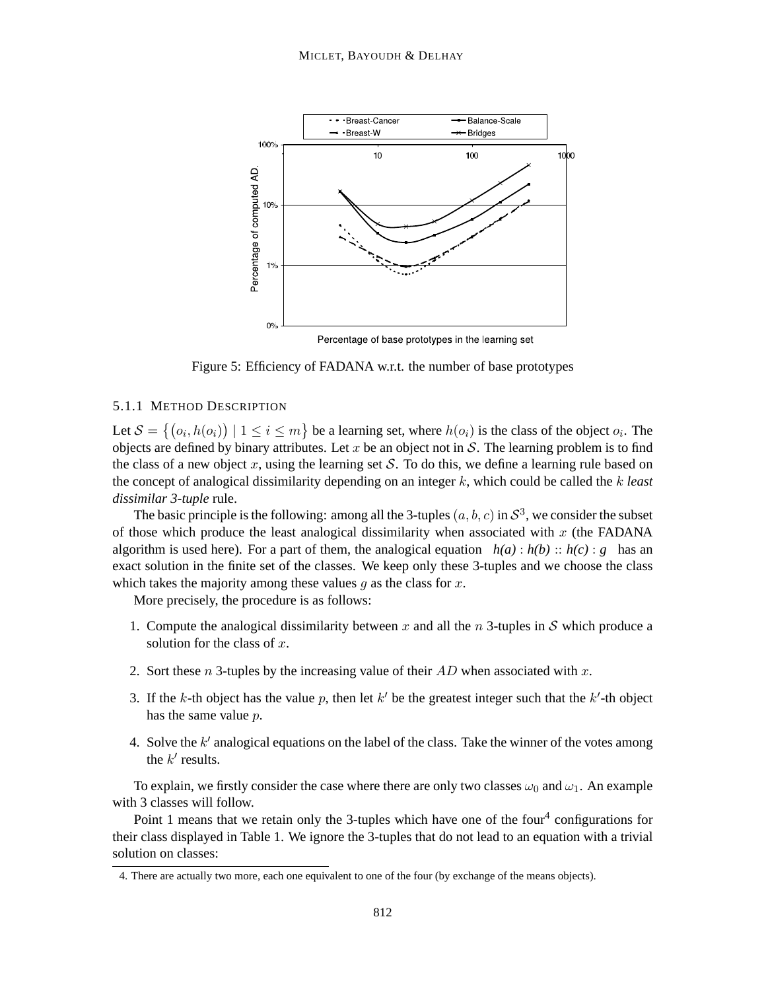

Percentage of base prototypes in the learning set

Figure 5: Efficiency of FADANA w.r.t. the number of base prototypes

## 5.1.1 METHOD DESCRIPTION

Let  $S = \{(o_i, h(o_i)) \mid 1 \le i \le m\}$  be a learning set, where  $h(o_i)$  is the class of the object  $o_i$ . The objects are defined by binary attributes. Let x be an object not in  $S$ . The learning problem is to find the class of a new object  $x$ , using the learning set  $S$ . To do this, we define a learning rule based on the concept of analogical dissimilarity depending on an integer k, which could be called the k *least dissimilar 3-tuple* rule.

The basic principle is the following: among all the 3-tuples  $(a, b, c)$  in  $S^3$ , we consider the subset of those which produce the least analogical dissimilarity when associated with  $x$  (the FADANA algorithm is used here). For a part of them, the analogical equation  $h(a): h(b): h(c): g$  has an exact solution in the finite set of the classes. We keep only these 3-tuples and we choose the class which takes the majority among these values  $g$  as the class for  $x$ .

More precisely, the procedure is as follows:

- 1. Compute the analogical dissimilarity between x and all the n 3-tuples in S which produce a solution for the class of  $x$ .
- 2. Sort these n 3-tuples by the increasing value of their  $AD$  when associated with x.
- 3. If the k-th object has the value p, then let  $k'$  be the greatest integer such that the  $k'$ -th object has the same value p.
- 4. Solve the  $k'$  analogical equations on the label of the class. Take the winner of the votes among the  $k'$  results.

To explain, we firstly consider the case where there are only two classes  $\omega_0$  and  $\omega_1$ . An example with 3 classes will follow.

Point 1 means that we retain only the 3-tuples which have one of the four<sup>4</sup> configurations for their class displayed in Table 1. We ignore the 3-tuples that do not lead to an equation with a trivial solution on classes:

<sup>4.</sup> There are actually two more, each one equivalent to one of the four (by exchange of the means objects).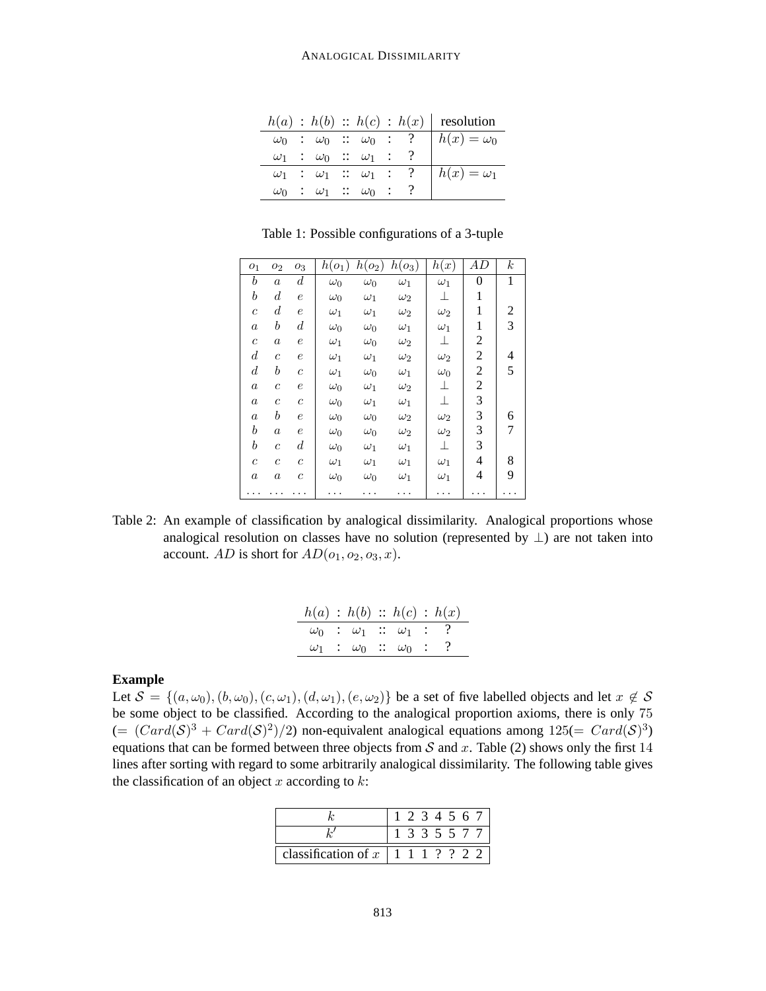|            |                                                   |  |  | $h(a) : h(b) :: h(c) : h(x)$ resolution |
|------------|---------------------------------------------------|--|--|-----------------------------------------|
|            | $\overline{\omega_0}$ : $\omega_0$ : $\omega_0$ : |  |  | $h(x) = \omega_0$                       |
|            | $\omega_1$ : $\omega_0$ : $\omega_1$ :            |  |  |                                         |
|            | $\omega_1$ : $\omega_1$ : $\omega_1$ :            |  |  | $h(x) = \omega_1$                       |
| $\omega_0$ | $\therefore \omega_1 \therefore \omega_0$ :       |  |  |                                         |

Table 1: Possible configurations of a 3-tuple

| O <sub>1</sub>   | O <sub>2</sub>        | $O_3$            | $h(o_1)$   | $h(o_2)$   | $h(o_3)$   | h(x)       | AD             | $\boldsymbol{k}$ |
|------------------|-----------------------|------------------|------------|------------|------------|------------|----------------|------------------|
| $\boldsymbol{b}$ | $\alpha$              | $\boldsymbol{d}$ | $\omega_0$ | $\omega_0$ | $\omega_1$ | $\omega_1$ | $\overline{0}$ | 1                |
| $\boldsymbol{b}$ | $\boldsymbol{d}$      | $\epsilon$       | $\omega_0$ | $\omega_1$ | $\omega_2$ | 丄          | 1              |                  |
| $\overline{c}$   | $\boldsymbol{d}$      | $\boldsymbol{e}$ | $\omega_1$ | $\omega_1$ | $\omega_2$ | $\omega_2$ | 1              | 2                |
| $\boldsymbol{a}$ | $\boldsymbol{b}$      | $\boldsymbol{d}$ | $\omega_0$ | $\omega_0$ | $\omega_1$ | $\omega_1$ | 1              | 3                |
| $\boldsymbol{c}$ | $\boldsymbol{a}$      | $\,e\,$          | $\omega_1$ | $\omega_0$ | $\omega_2$ | ⊥          | 2              |                  |
| $\boldsymbol{d}$ | $\overline{c}$        | $\epsilon$       | $\omega_1$ | $\omega_1$ | $\omega_2$ | $\omega_2$ | 2              | 4                |
| $\boldsymbol{d}$ | $\boldsymbol{b}$      | $\mathcal C$     | $\omega_1$ | $\omega_0$ | $\omega_1$ | $\omega_0$ | $\overline{c}$ | 5                |
| $\boldsymbol{a}$ | $\overline{c}$        | $\epsilon$       | $\omega_0$ | $\omega_1$ | $\omega_2$ | ⊥          | 2              |                  |
| $\boldsymbol{a}$ | $\mathcal{C}_{0}^{2}$ | $\boldsymbol{c}$ | $\omega_0$ | $\omega_1$ | $\omega_1$ | $\perp$    | 3              |                  |
| $\boldsymbol{a}$ | $\boldsymbol{b}$      | $\epsilon$       | $\omega_0$ | $\omega_0$ | $\omega_2$ | $\omega_2$ | 3              | 6                |
| $_{b}$           | $\boldsymbol{a}$      | $\,e\,$          | $\omega_0$ | $\omega_0$ | $\omega_2$ | $\omega_2$ | 3              | 7                |
| $\boldsymbol{b}$ | $\overline{c}$        | $\boldsymbol{d}$ | $\omega_0$ | $\omega_1$ | $\omega_1$ | 丄          | 3              |                  |
| $\mathfrak c$    | $\overline{c}$        | $\mathcal C$     | $\omega_1$ | $\omega_1$ | $\omega_1$ | $\omega_1$ | 4              | 8                |
| $\boldsymbol{a}$ | $\boldsymbol{a}$      | $\mathcal C$     | $\omega_0$ | $\omega_0$ | $\omega_1$ | $\omega_1$ | 4              | 9                |
|                  |                       |                  |            |            |            |            |                |                  |

Table 2: An example of classification by analogical dissimilarity. Analogical proportions whose analogical resolution on classes have no solution (represented by  $\perp$ ) are not taken into account. AD is short for  $AD(o_1, o_2, o_3, x)$ .

| h(a) : h(b) :: h(c) : h(x)               |  |                                          |  |
|------------------------------------------|--|------------------------------------------|--|
| $\omega_0$ : $\omega_1$ : $\omega_1$ : ? |  |                                          |  |
|                                          |  | $\omega_1$ : $\omega_0$ : $\omega_0$ : ? |  |

#### **Example**

Let  $S = \{(a, \omega_0), (b, \omega_0), (c, \omega_1), (d, \omega_1), (e, \omega_2)\}\$ be a set of five labelled objects and let  $x \notin S$ be some object to be classified. According to the analogical proportion axioms, there is only 75  $(=(Card(S)^3 + Card(S)^2)/2)$  non-equivalent analogical equations among  $125(=Card(S)^3)$ equations that can be formed between three objects from  $S$  and  $x$ . Table (2) shows only the first 14 lines after sorting with regard to some arbitrarily analogical dissimilarity. The following table gives the classification of an object  $x$  according to  $k$ :

|                                                                 |  |  | 1 2 3 4 5 6 7 |  |
|-----------------------------------------------------------------|--|--|---------------|--|
|                                                                 |  |  | 1 3 3 5 5 7 7 |  |
| classification of $x \mid 1 \mid 1 \mid ? \mid ? \mid 2 \mid 2$ |  |  |               |  |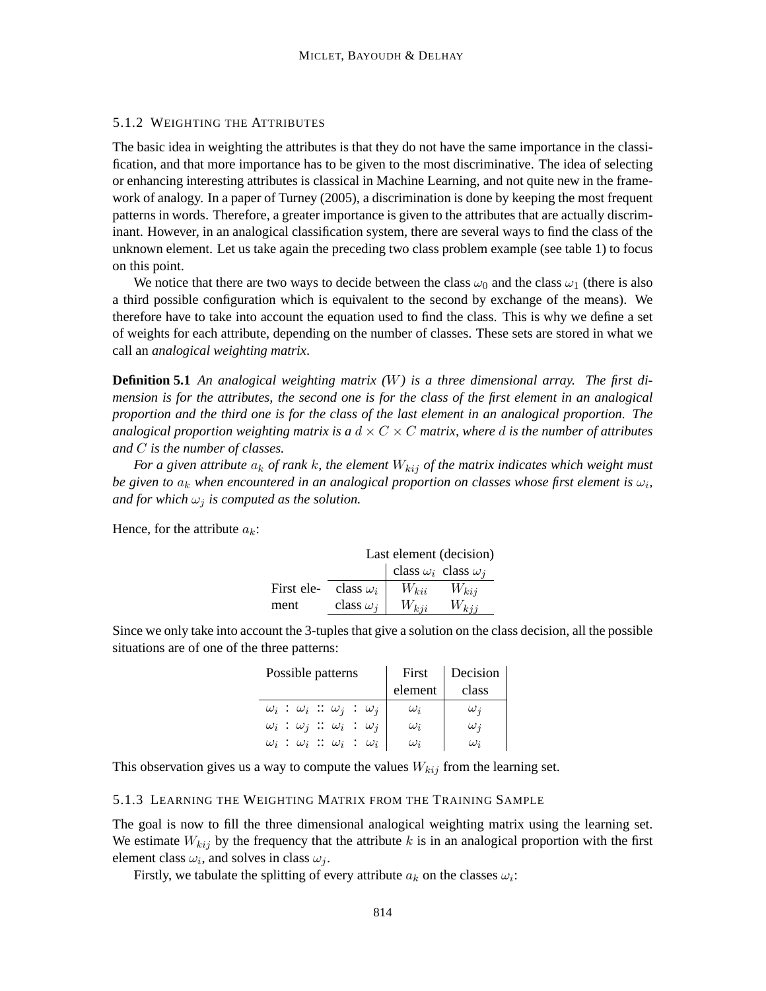### 5.1.2 WEIGHTING THE ATTRIBUTES

The basic idea in weighting the attributes is that they do not have the same importance in the classification, and that more importance has to be given to the most discriminative. The idea of selecting or enhancing interesting attributes is classical in Machine Learning, and not quite new in the framework of analogy. In a paper of Turney (2005), a discrimination is done by keeping the most frequent patterns in words. Therefore, a greater importance is given to the attributes that are actually discriminant. However, in an analogical classification system, there are several ways to find the class of the unknown element. Let us take again the preceding two class problem example (see table 1) to focus on this point.

We notice that there are two ways to decide between the class  $\omega_0$  and the class  $\omega_1$  (there is also a third possible configuration which is equivalent to the second by exchange of the means). We therefore have to take into account the equation used to find the class. This is why we define a set of weights for each attribute, depending on the number of classes. These sets are stored in what we call an *analogical weighting matrix*.

**Definition 5.1** *An analogical weighting matrix (*W*) is a three dimensional array. The first dimension is for the attributes, the second one is for the class of the first element in an analogical proportion and the third one is for the class of the last element in an analogical proportion. The analogical proportion weighting matrix is a*  $d \times C \times C$  *matrix, where d is the number of attributes and* C *is the number of classes.*

*For a given attribute*  $a_k$  *of rank k, the element*  $W_{kij}$  *of the matrix indicates which weight must be given to*  $a_k$  when encountered in an analogical proportion on classes whose first element is  $\omega_i$ , *and for which*  $\omega_j$  *is computed as the solution.* 

Hence, for the attribute  $a_k$ :

|            |                  |                                   | Last element (decision) |
|------------|------------------|-----------------------------------|-------------------------|
|            |                  | class $\omega_i$ class $\omega_j$ |                         |
| First ele- | class $\omega_i$ | $W_{kii}$                         | $W_{kij}$               |
| ment       | class $\omega_i$ | $W_{kji}$                         | $W_{kij}$               |

Since we only take into account the 3-tuples that give a solution on the class decision, all the possible situations are of one of the three patterns:

| Possible patterns                                  | First      | Decision   |
|----------------------------------------------------|------------|------------|
|                                                    | element    | class      |
| $\omega_i$ : $\omega_i$ : $\omega_j$ : $\omega_j$  | $\omega_i$ | $\omega_i$ |
| $\omega_i$ : $\omega_j$ : $\omega_i$ : $\omega_j$  | $\omega_i$ | $\omega_i$ |
| $\omega_i\;:\;\omega_i\;::\;\omega_i\;:\;\omega_i$ | $\omega_i$ | $\omega_i$ |

This observation gives us a way to compute the values  $W_{kij}$  from the learning set.

#### 5.1.3 LEARNING THE WEIGHTING MATRIX FROM THE TRAINING SAMPLE

The goal is now to fill the three dimensional analogical weighting matrix using the learning set. We estimate  $W_{kij}$  by the frequency that the attribute k is in an analogical proportion with the first element class  $\omega_i$ , and solves in class  $\omega_j$ .

Firstly, we tabulate the splitting of every attribute  $a_k$  on the classes  $\omega_i$ :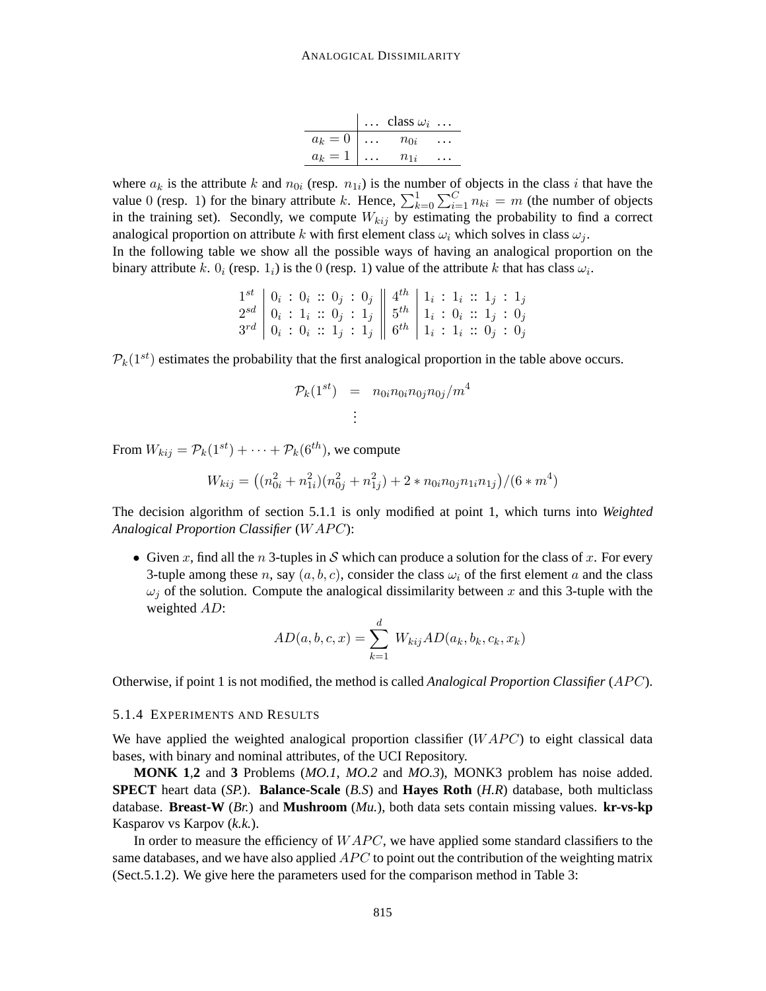|         | $\ldots$ class $\omega_i$ $\ldots$ |  |
|---------|------------------------------------|--|
| $a_k=0$ | $n_{0i}$                           |  |
| $a_k=1$ | $n_{1i}$                           |  |

where  $a_k$  is the attribute k and  $n_{0i}$  (resp.  $n_{1i}$ ) is the number of objects in the class i that have the value 0 (resp. 1) for the binary attribute k. Hence,  $\sum_{k=0}^{1} \sum_{i=1}^{C} n_{ki} = m$  (the number of objects in the training set). Secondly, we compute  $W_{kij}$  by estimating the probability to find a correct analogical proportion on attribute k with first element class  $\omega_i$  which solves in class  $\omega_i$ .

In the following table we show all the possible ways of having an analogical proportion on the binary attribute k.  $0_i$  (resp.  $1_i$ ) is the 0 (resp. 1) value of the attribute k that has class  $\omega_i$ .

$$
\begin{array}{c|c|c|c|c|c|c|c} 1^{st} & 0_i & : & 0_i & : & 0_j & : & 0_j & & 4^{th} & 1_i & : & 1_i & : & 1_j & : & 1_j \\ 2^{sd} & 0_i & : & 1_i & : & 0_j & : & 1_j & & 5^{th} & 1_i & : & 0_i & : & 1_j & : & 0_j \\ 3^{rd} & 0_i & : & 0_i & : & 1_j & : & 1_j & & 6^{th} & 1_i & : & 1_i & : & 0_j & : & 0_j \\ \end{array}
$$

 $\mathcal{P}_k(1^{st})$  estimates the probability that the first analogical proportion in the table above occurs.

$$
\mathcal{P}_k(1^{st}) = n_{0i}n_{0i}n_{0j}n_{0j}/m^4
$$
  
:

From  $W_{kij} = \mathcal{P}_k(1^{st}) + \cdots + \mathcal{P}_k(6^{th})$ , we compute

$$
W_{kij} = \left( (n_{0i}^2 + n_{1i}^2)(n_{0j}^2 + n_{1j}^2) + 2 * n_{0i}n_{0j}n_{1i}n_{1j} \right) / (6 * m^4)
$$

The decision algorithm of section 5.1.1 is only modified at point 1, which turns into *Weighted* **Analogical Proportion Classifier (WAPC):** 

• Given x, find all the n 3-tuples in S which can produce a solution for the class of x. For every 3-tuple among these n, say  $(a, b, c)$ , consider the class  $\omega_i$  of the first element a and the class  $\omega_i$  of the solution. Compute the analogical dissimilarity between x and this 3-tuple with the weighted AD:

$$
AD(a, b, c, x) = \sum_{k=1}^{d} W_{kij} AD(a_k, b_k, c_k, x_k)
$$

Otherwise, if point 1 is not modified, the method is called *Analogical Proportion Classifier* (APC).

### 5.1.4 EXPERIMENTS AND RESULTS

We have applied the weighted analogical proportion classifier  $(WAPC)$  to eight classical data bases, with binary and nominal attributes, of the UCI Repository.

**MONK 1**,**2** and **3** Problems (*MO.1*, *MO.2* and *MO.3*), MONK3 problem has noise added. **SPECT** heart data (*SP.*). **Balance-Scale** (*B.S*) and **Hayes Roth** (*H.R*) database, both multiclass database. **Breast-W** (*Br.*) and **Mushroom** (*Mu.*), both data sets contain missing values. **kr-vs-kp** Kasparov vs Karpov (*k.k.*).

In order to measure the efficiency of  $WAPC$ , we have applied some standard classifiers to the same databases, and we have also applied  $APC$  to point out the contribution of the weighting matrix (Sect.5.1.2). We give here the parameters used for the comparison method in Table 3: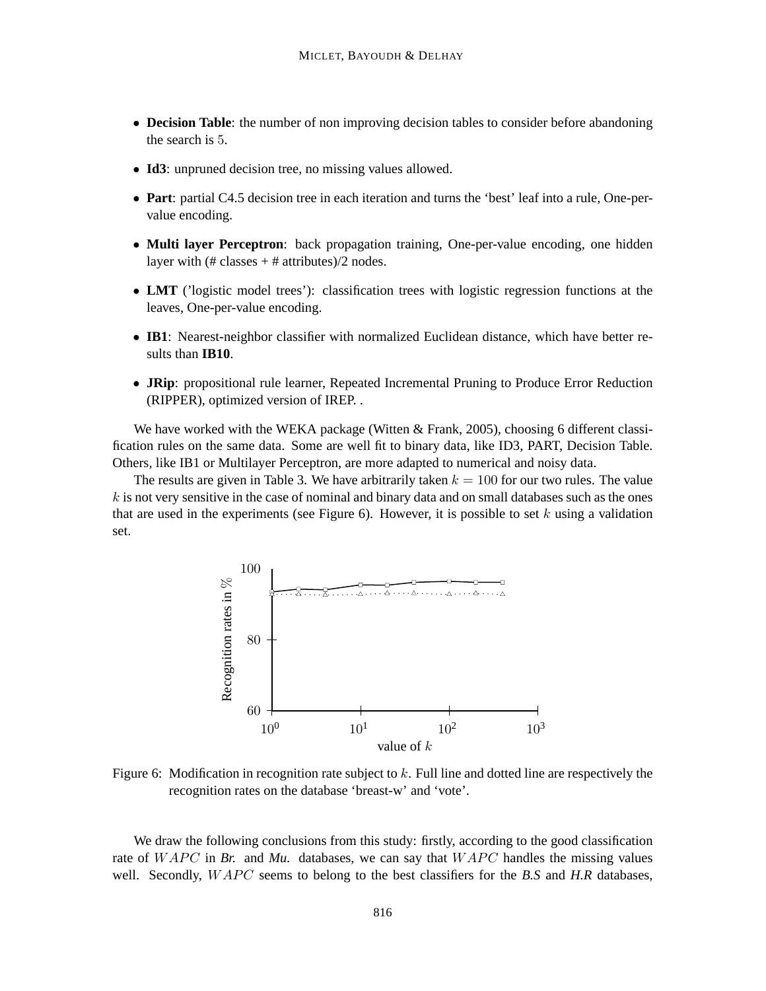- **Decision Table**: the number of non improving decision tables to consider before abandoning the search is 5.
- **Id3**: unpruned decision tree, no missing values allowed.
- **Part**: partial C4.5 decision tree in each iteration and turns the 'best' leaf into a rule, One-pervalue encoding.
- **Multi layer Perceptron**: back propagation training, One-per-value encoding, one hidden layer with  $(\# \text{ classes} + \# \text{ attributes})/2 \text{ nodes}.$
- **LMT** ('logistic model trees'): classification trees with logistic regression functions at the leaves, One-per-value encoding.
- **IB1**: Nearest-neighbor classifier with normalized Euclidean distance, which have better results than **IB10**.
- **JRip**: propositional rule learner, Repeated Incremental Pruning to Produce Error Reduction (RIPPER), optimized version of IREP. .

We have worked with the WEKA package (Witten & Frank, 2005), choosing 6 different classification rules on the same data. Some are well fit to binary data, like ID3, PART, Decision Table. Others, like IB1 or Multilayer Perceptron, are more adapted to numerical and noisy data.

The results are given in Table 3. We have arbitrarily taken  $k = 100$  for our two rules. The value  $k$  is not very sensitive in the case of nominal and binary data and on small databases such as the ones that are used in the experiments (see Figure 6). However, it is possible to set  $k$  using a validation set.



Figure 6: Modification in recognition rate subject to  $k$ . Full line and dotted line are respectively the recognition rates on the database 'breast-w' and 'vote'.

We draw the following conclusions from this study: firstly, according to the good classification rate of  $WAPC$  in *Br.* and *Mu.* databases, we can say that  $WAPC$  handles the missing values well. Secondly,  $WAPC$  seems to belong to the best classifiers for the *B.S* and *H.R* databases,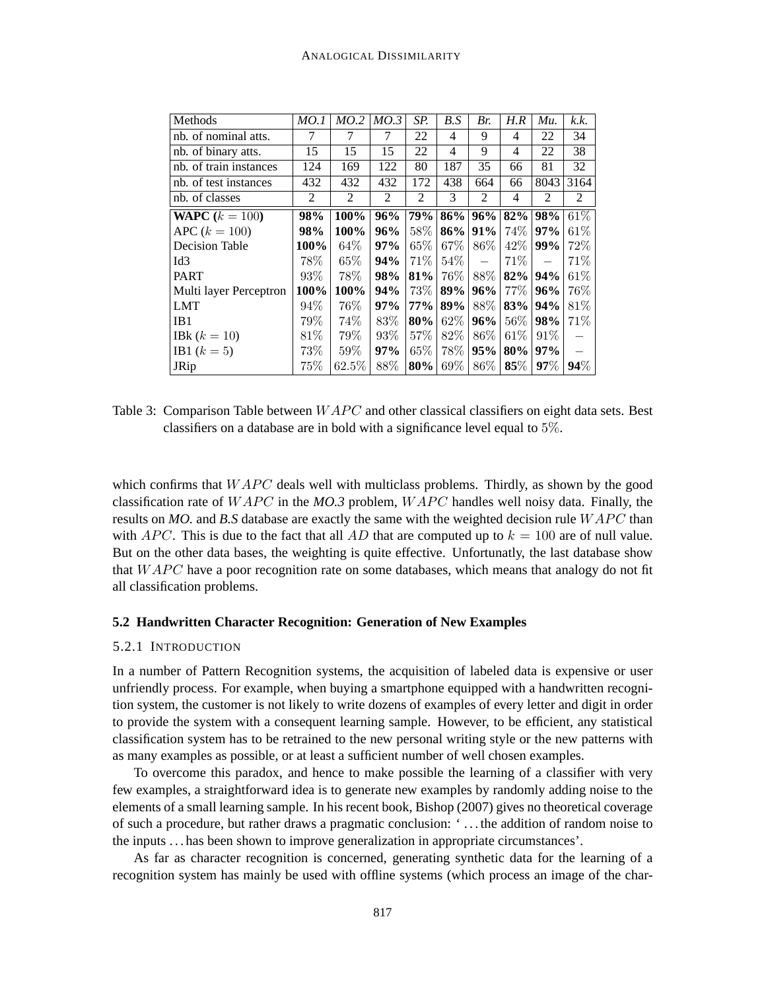| Methods                 | MO.1   | MO.2  | MO.3 | SP.        | B.S    | Br.                      | H.R            | Mu.                              | k.k. |
|-------------------------|--------|-------|------|------------|--------|--------------------------|----------------|----------------------------------|------|
| nb. of nominal atts.    | 7      | 7     | 7    | 22         | 4      | 9                        | 4              | 22                               | 34   |
| nb. of binary atts.     | 15     | 15    | 15   | 22         | 4      | 9                        | 4              | 22                               | 38   |
| nb. of train instances  | 124    | 169   | 122  | 80         | 187    | 35                       | 66             | 81                               | 32   |
| nb. of test instances   | 432    | 432   | 432  | 172        | 438    | 664                      | 66             | 8043                             | 3164 |
| nb. of classes          | 2      | 2     | 2    | 2          | 3      | 2                        | $\overline{4}$ | 2                                | 2    |
| <b>WAPC</b> $(k = 100)$ | 98%    | 100%  | 96%  | <b>79%</b> | 86%    | 96%                      | 82%            | 98%                              | 61\% |
| $APC (k = 100)$         | 98%    | 100%  | 96%  | 58%        | 86%    | 91%                      | 74\%           | 97%                              | 61\% |
| <b>Decision Table</b>   | 100%   | 64\%  | 97%  | $65\%$     | 67\%   | $86\%$                   | 42\%           | 99%                              | 72%  |
| Id <sub>3</sub>         | 78%    | 65\%  | 94%  | 71\%       | $54\%$ | $\overline{\phantom{0}}$ | 71\%           | $\overbrace{\phantom{12322111}}$ | 71\% |
| <b>PART</b>             | $93\%$ | 78\%  | 98%  | 81%        | $76\%$ | 88%                      | 82%            | 94%                              | 61\% |
| Multi layer Perceptron  | 100%   | 100%  | 94%  | 73%        | 89%    | 96%                      | 77\%           | 96%                              | 76%  |
| LMT                     | 94%    | 76%   | 97%  | 77%        | 89%    | 88\%                     | 83%            | 94%                              | 81\% |
| IB1                     | 79%    | 74%   | 83\% | 80%        | 62\%   | 96%                      | $56\%$         | 98%                              | 71\% |
| <b>IBk</b> $(k = 10)$   | 81\%   | 79%   | 93%  | 57\%       | 82%    | 86%                      | $61\%$         | 91%                              |      |
| <b>IB1</b> $(k = 5)$    | 73%    | 59%   | 97%  | $65\%$     | 78\%   | 95%                      | 80%            | 97%                              |      |
| JRip                    | 75%    | 62.5% | 88\% | 80%        | 69%    | $86\%$                   | 85%            | 97%                              | 94%  |

Table 3: Comparison Table between  $WAPC$  and other classical classifiers on eight data sets. Best classifiers on a database are in bold with a significance level equal to 5%.

which confirms that  $WAPC$  deals well with multiclass problems. Thirdly, as shown by the good classification rate of  $WAPC$  in the  $MO.3$  problem,  $WAPC$  handles well noisy data. Finally, the results on *MO*. and *B.S* database are exactly the same with the weighted decision rule WAPC than with *APC*. This is due to the fact that all *AD* that are computed up to  $k = 100$  are of null value. But on the other data bases, the weighting is quite effective. Unfortunatly, the last database show that  $WAPC$  have a poor recognition rate on some databases, which means that analogy do not fit all classification problems.

### **5.2 Handwritten Character Recognition: Generation of New Examples**

## 5.2.1 INTRODUCTION

In a number of Pattern Recognition systems, the acquisition of labeled data is expensive or user unfriendly process. For example, when buying a smartphone equipped with a handwritten recognition system, the customer is not likely to write dozens of examples of every letter and digit in order to provide the system with a consequent learning sample. However, to be efficient, any statistical classification system has to be retrained to the new personal writing style or the new patterns with as many examples as possible, or at least a sufficient number of well chosen examples.

To overcome this paradox, and hence to make possible the learning of a classifier with very few examples, a straightforward idea is to generate new examples by randomly adding noise to the elements of a small learning sample. In his recent book, Bishop (2007) gives no theoretical coverage of such a procedure, but rather draws a pragmatic conclusion: ' . . . the addition of random noise to the inputs . . . has been shown to improve generalization in appropriate circumstances'.

As far as character recognition is concerned, generating synthetic data for the learning of a recognition system has mainly be used with offline systems (which process an image of the char-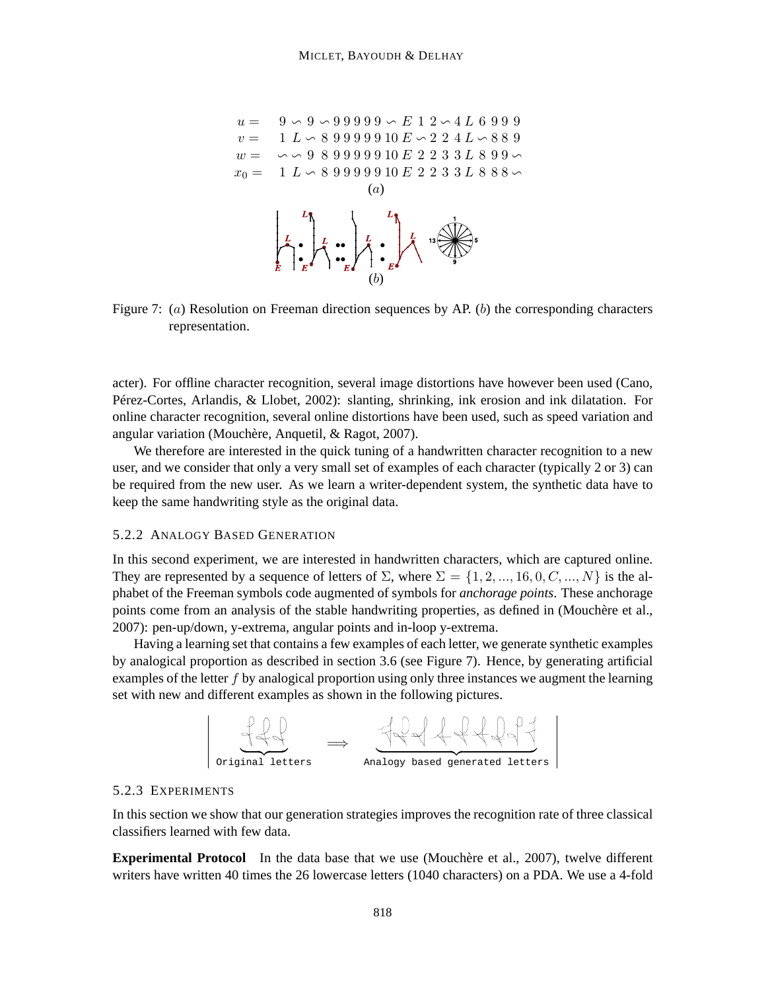

Figure 7:  $(a)$  Resolution on Freeman direction sequences by AP. (b) the corresponding characters representation.

acter). For offline character recognition, several image distortions have however been used (Cano, Pérez-Cortes, Arlandis, & Llobet, 2002): slanting, shrinking, ink erosion and ink dilatation. For online character recognition, several online distortions have been used, such as speed variation and angular variation (Mouchère, Anquetil, & Ragot, 2007).

We therefore are interested in the quick tuning of a handwritten character recognition to a new user, and we consider that only a very small set of examples of each character (typically 2 or 3) can be required from the new user. As we learn a writer-dependent system, the synthetic data have to keep the same handwriting style as the original data.

#### 5.2.2 ANALOGY BASED GENERATION

In this second experiment, we are interested in handwritten characters, which are captured online. They are represented by a sequence of letters of  $\Sigma$ , where  $\Sigma = \{1, 2, ..., 16, 0, C, ..., N\}$  is the alphabet of the Freeman symbols code augmented of symbols for *anchorage points*. These anchorage points come from an analysis of the stable handwriting properties, as defined in (Mouchère et al., 2007): pen-up/down, y-extrema, angular points and in-loop y-extrema.

Having a learning set that contains a few examples of each letter, we generate synthetic examples by analogical proportion as described in section 3.6 (see Figure 7). Hence, by generating artificial examples of the letter  $f$  by analogical proportion using only three instances we augment the learning set with new and different examples as shown in the following pictures.



#### 5.2.3 EXPERIMENTS

In this section we show that our generation strategies improves the recognition rate of three classical classifiers learned with few data.

**Experimental Protocol** In the data base that we use (Mouchère et al., 2007), twelve different writers have written 40 times the 26 lowercase letters (1040 characters) on a PDA. We use a 4-fold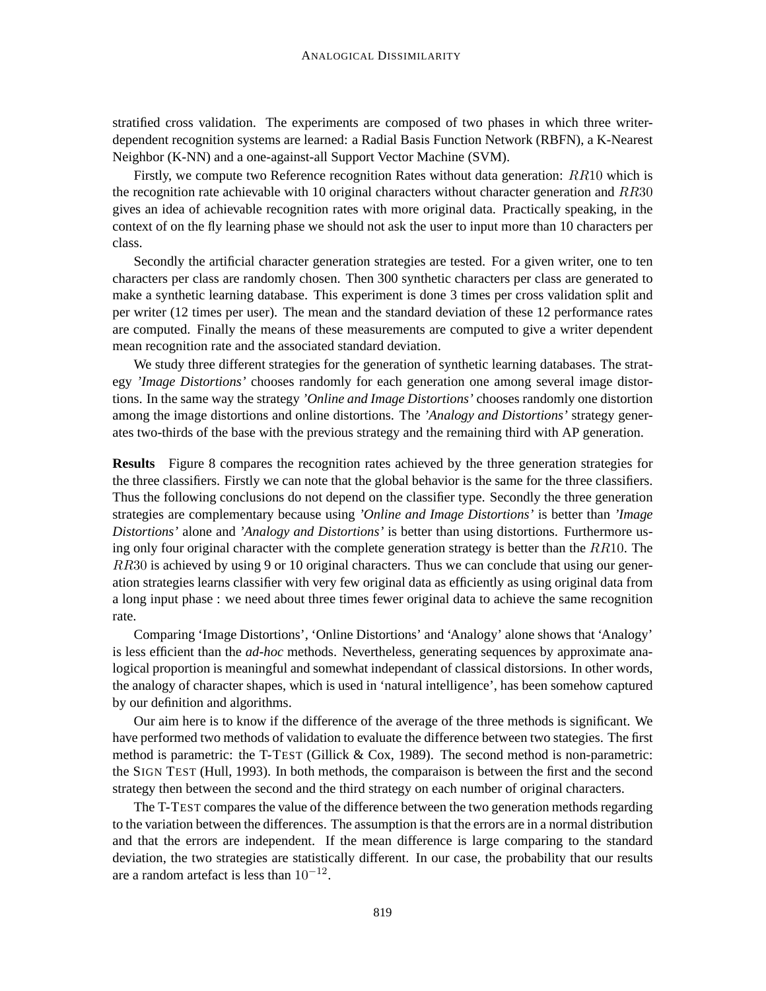stratified cross validation. The experiments are composed of two phases in which three writerdependent recognition systems are learned: a Radial Basis Function Network (RBFN), a K-Nearest Neighbor (K-NN) and a one-against-all Support Vector Machine (SVM).

Firstly, we compute two Reference recognition Rates without data generation: RR10 which is the recognition rate achievable with 10 original characters without character generation and  $RR30$ gives an idea of achievable recognition rates with more original data. Practically speaking, in the context of on the fly learning phase we should not ask the user to input more than 10 characters per class.

Secondly the artificial character generation strategies are tested. For a given writer, one to ten characters per class are randomly chosen. Then 300 synthetic characters per class are generated to make a synthetic learning database. This experiment is done 3 times per cross validation split and per writer (12 times per user). The mean and the standard deviation of these 12 performance rates are computed. Finally the means of these measurements are computed to give a writer dependent mean recognition rate and the associated standard deviation.

We study three different strategies for the generation of synthetic learning databases. The strategy *'Image Distortions'* chooses randomly for each generation one among several image distortions. In the same way the strategy *'Online and Image Distortions'* chooses randomly one distortion among the image distortions and online distortions. The *'Analogy and Distortions'* strategy generates two-thirds of the base with the previous strategy and the remaining third with AP generation.

**Results** Figure 8 compares the recognition rates achieved by the three generation strategies for the three classifiers. Firstly we can note that the global behavior is the same for the three classifiers. Thus the following conclusions do not depend on the classifier type. Secondly the three generation strategies are complementary because using *'Online and Image Distortions'* is better than *'Image Distortions'* alone and *'Analogy and Distortions'* is better than using distortions. Furthermore using only four original character with the complete generation strategy is better than the  $RR10$ . The  $RR30$  is achieved by using 9 or 10 original characters. Thus we can conclude that using our generation strategies learns classifier with very few original data as efficiently as using original data from a long input phase : we need about three times fewer original data to achieve the same recognition rate.

Comparing 'Image Distortions', 'Online Distortions' and 'Analogy' alone shows that 'Analogy' is less efficient than the *ad-hoc* methods. Nevertheless, generating sequences by approximate analogical proportion is meaningful and somewhat independant of classical distorsions. In other words, the analogy of character shapes, which is used in 'natural intelligence', has been somehow captured by our definition and algorithms.

Our aim here is to know if the difference of the average of the three methods is significant. We have performed two methods of validation to evaluate the difference between two stategies. The first method is parametric: the T-TEST (Gillick  $& Cox$ , 1989). The second method is non-parametric: the SIGN TEST (Hull, 1993). In both methods, the comparaison is between the first and the second strategy then between the second and the third strategy on each number of original characters.

The T-TEST compares the value of the difference between the two generation methods regarding to the variation between the differences. The assumption is that the errors are in a normal distribution and that the errors are independent. If the mean difference is large comparing to the standard deviation, the two strategies are statistically different. In our case, the probability that our results are a random artefact is less than  $10^{-12}$ .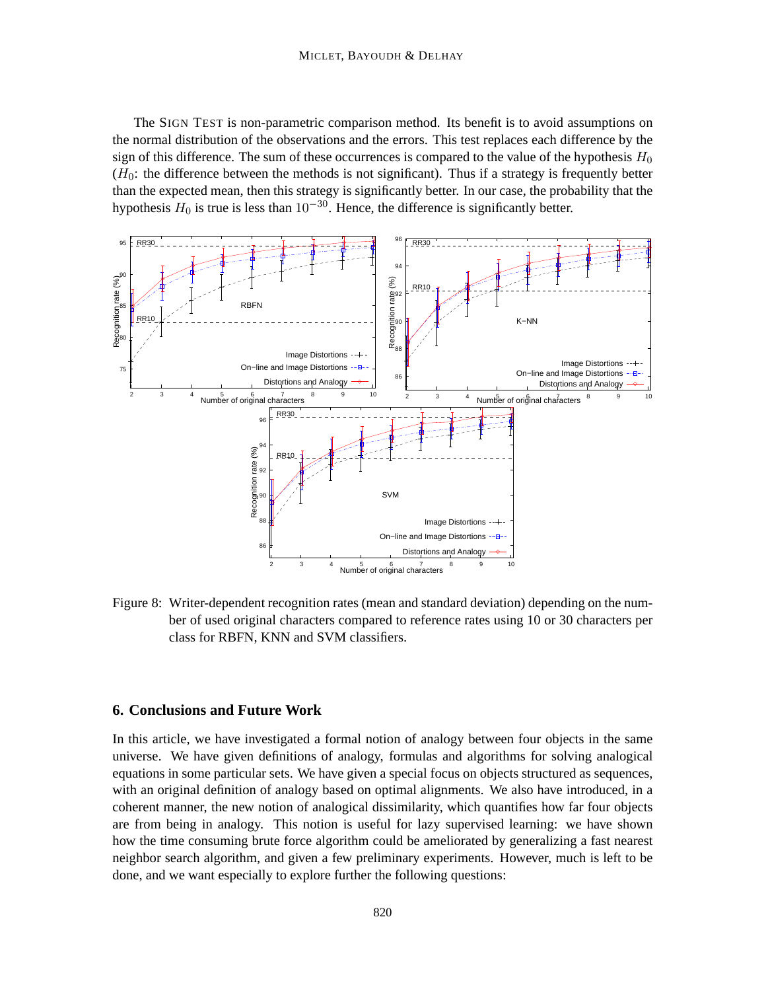The SIGN TEST is non-parametric comparison method. Its benefit is to avoid assumptions on the normal distribution of the observations and the errors. This test replaces each difference by the sign of this difference. The sum of these occurrences is compared to the value of the hypothesis  $H_0$  $(H<sub>0</sub>)$ : the difference between the methods is not significant). Thus if a strategy is frequently better than the expected mean, then this strategy is significantly better. In our case, the probability that the hypothesis  $H_0$  is true is less than  $10^{-30}$ . Hence, the difference is significantly better.



Figure 8: Writer-dependent recognition rates (mean and standard deviation) depending on the number of used original characters compared to reference rates using 10 or 30 characters per class for RBFN, KNN and SVM classifiers.

## **6. Conclusions and Future Work**

In this article, we have investigated a formal notion of analogy between four objects in the same universe. We have given definitions of analogy, formulas and algorithms for solving analogical equations in some particular sets. We have given a special focus on objects structured as sequences, with an original definition of analogy based on optimal alignments. We also have introduced, in a coherent manner, the new notion of analogical dissimilarity, which quantifies how far four objects are from being in analogy. This notion is useful for lazy supervised learning: we have shown how the time consuming brute force algorithm could be ameliorated by generalizing a fast nearest neighbor search algorithm, and given a few preliminary experiments. However, much is left to be done, and we want especially to explore further the following questions: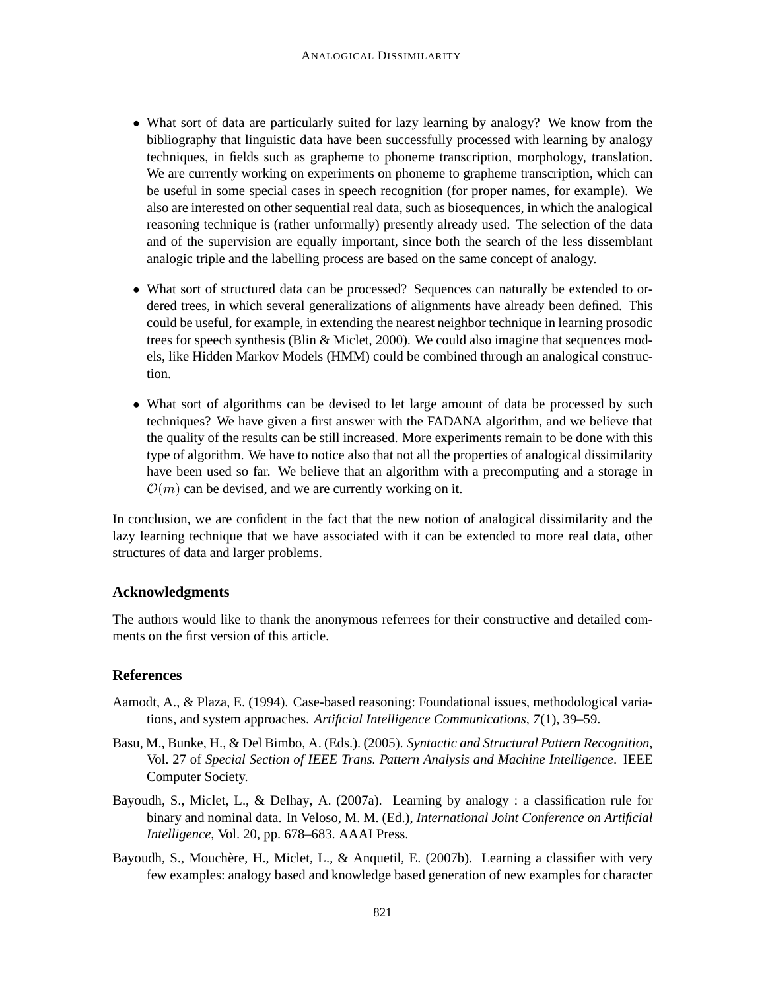- What sort of data are particularly suited for lazy learning by analogy? We know from the bibliography that linguistic data have been successfully processed with learning by analogy techniques, in fields such as grapheme to phoneme transcription, morphology, translation. We are currently working on experiments on phoneme to grapheme transcription, which can be useful in some special cases in speech recognition (for proper names, for example). We also are interested on other sequential real data, such as biosequences, in which the analogical reasoning technique is (rather unformally) presently already used. The selection of the data and of the supervision are equally important, since both the search of the less dissemblant analogic triple and the labelling process are based on the same concept of analogy.
- What sort of structured data can be processed? Sequences can naturally be extended to ordered trees, in which several generalizations of alignments have already been defined. This could be useful, for example, in extending the nearest neighbor technique in learning prosodic trees for speech synthesis (Blin & Miclet, 2000). We could also imagine that sequences models, like Hidden Markov Models (HMM) could be combined through an analogical construction.
- What sort of algorithms can be devised to let large amount of data be processed by such techniques? We have given a first answer with the FADANA algorithm, and we believe that the quality of the results can be still increased. More experiments remain to be done with this type of algorithm. We have to notice also that not all the properties of analogical dissimilarity have been used so far. We believe that an algorithm with a precomputing and a storage in  $\mathcal{O}(m)$  can be devised, and we are currently working on it.

In conclusion, we are confident in the fact that the new notion of analogical dissimilarity and the lazy learning technique that we have associated with it can be extended to more real data, other structures of data and larger problems.

## **Acknowledgments**

The authors would like to thank the anonymous referrees for their constructive and detailed comments on the first version of this article.

## **References**

- Aamodt, A., & Plaza, E. (1994). Case-based reasoning: Foundational issues, methodological variations, and system approaches. *Artificial Intelligence Communications*, *7*(1), 39–59.
- Basu, M., Bunke, H., & Del Bimbo, A. (Eds.). (2005). *Syntactic and Structural Pattern Recognition*, Vol. 27 of *Special Section of IEEE Trans. Pattern Analysis and Machine Intelligence*. IEEE Computer Society.
- Bayoudh, S., Miclet, L., & Delhay, A. (2007a). Learning by analogy : a classification rule for binary and nominal data. In Veloso, M. M. (Ed.), *International Joint Conference on Artificial Intelligence*, Vol. 20, pp. 678–683. AAAI Press.
- Bayoudh, S., Mouchère, H., Miclet, L., & Anquetil, E. (2007b). Learning a classifier with very few examples: analogy based and knowledge based generation of new examples for character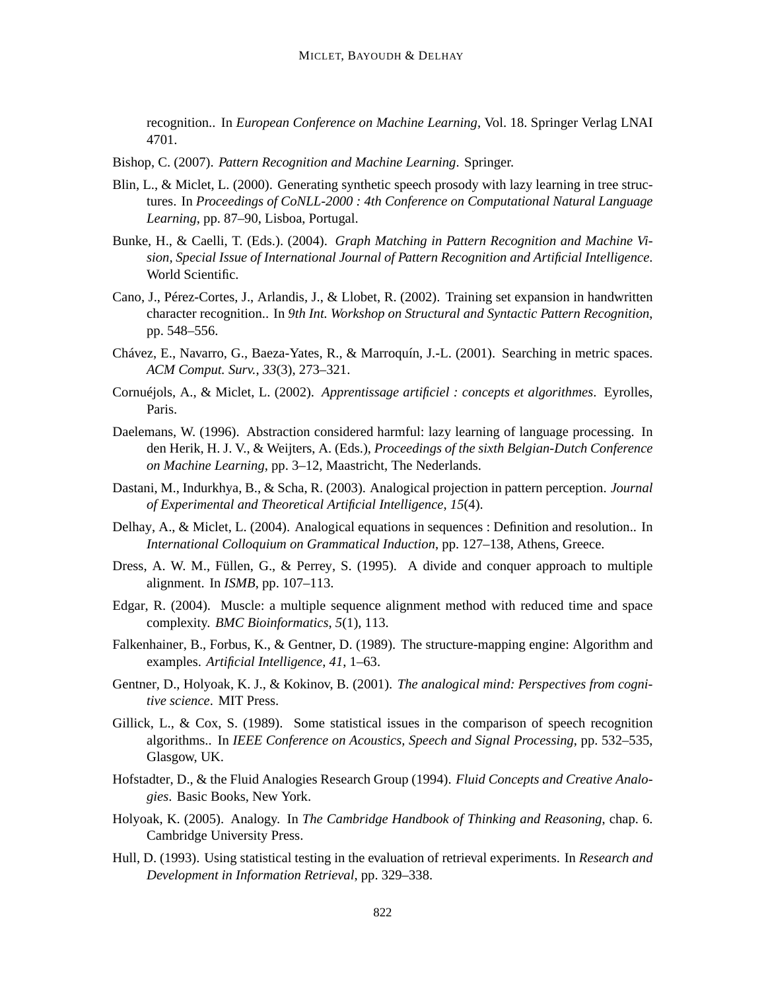recognition.. In *European Conference on Machine Learning*, Vol. 18. Springer Verlag LNAI 4701.

- Bishop, C. (2007). *Pattern Recognition and Machine Learning*. Springer.
- Blin, L., & Miclet, L. (2000). Generating synthetic speech prosody with lazy learning in tree structures. In *Proceedings of CoNLL-2000 : 4th Conference on Computational Natural Language Learning*, pp. 87–90, Lisboa, Portugal.
- Bunke, H., & Caelli, T. (Eds.). (2004). *Graph Matching in Pattern Recognition and Machine Vision, Special Issue of International Journal of Pattern Recognition and Artificial Intelligence*. World Scientific.
- Cano, J., Pérez-Cortes, J., Arlandis, J., & Llobet, R. (2002). Training set expansion in handwritten character recognition.. In *9th Int. Workshop on Structural and Syntactic Pattern Recognition*, pp. 548–556.
- Chávez, E., Navarro, G., Baeza-Yates, R., & Marroquín, J.-L. (2001). Searching in metric spaces. *ACM Comput. Surv.*, *33*(3), 273–321.
- Cornuéjols, A., & Miclet, L. (2002). *Apprentissage artificiel : concepts et algorithmes*. Eyrolles, Paris.
- Daelemans, W. (1996). Abstraction considered harmful: lazy learning of language processing. In den Herik, H. J. V., & Weijters, A. (Eds.), *Proceedings of the sixth Belgian-Dutch Conference on Machine Learning*, pp. 3–12, Maastricht, The Nederlands.
- Dastani, M., Indurkhya, B., & Scha, R. (2003). Analogical projection in pattern perception. *Journal of Experimental and Theoretical Artificial Intelligence*, *15*(4).
- Delhay, A., & Miclet, L. (2004). Analogical equations in sequences : Definition and resolution.. In *International Colloquium on Grammatical Induction*, pp. 127–138, Athens, Greece.
- Dress, A. W. M., Füllen, G., & Perrey, S. (1995). A divide and conquer approach to multiple alignment. In *ISMB*, pp. 107–113.
- Edgar, R. (2004). Muscle: a multiple sequence alignment method with reduced time and space complexity. *BMC Bioinformatics*, *5*(1), 113.
- Falkenhainer, B., Forbus, K., & Gentner, D. (1989). The structure-mapping engine: Algorithm and examples. *Artificial Intelligence*, *41*, 1–63.
- Gentner, D., Holyoak, K. J., & Kokinov, B. (2001). *The analogical mind: Perspectives from cognitive science*. MIT Press.
- Gillick, L., & Cox, S. (1989). Some statistical issues in the comparison of speech recognition algorithms.. In *IEEE Conference on Acoustics, Speech and Signal Processing*, pp. 532–535, Glasgow, UK.
- Hofstadter, D., & the Fluid Analogies Research Group (1994). *Fluid Concepts and Creative Analogies*. Basic Books, New York.
- Holyoak, K. (2005). Analogy. In *The Cambridge Handbook of Thinking and Reasoning*, chap. 6. Cambridge University Press.
- Hull, D. (1993). Using statistical testing in the evaluation of retrieval experiments. In *Research and Development in Information Retrieval*, pp. 329–338.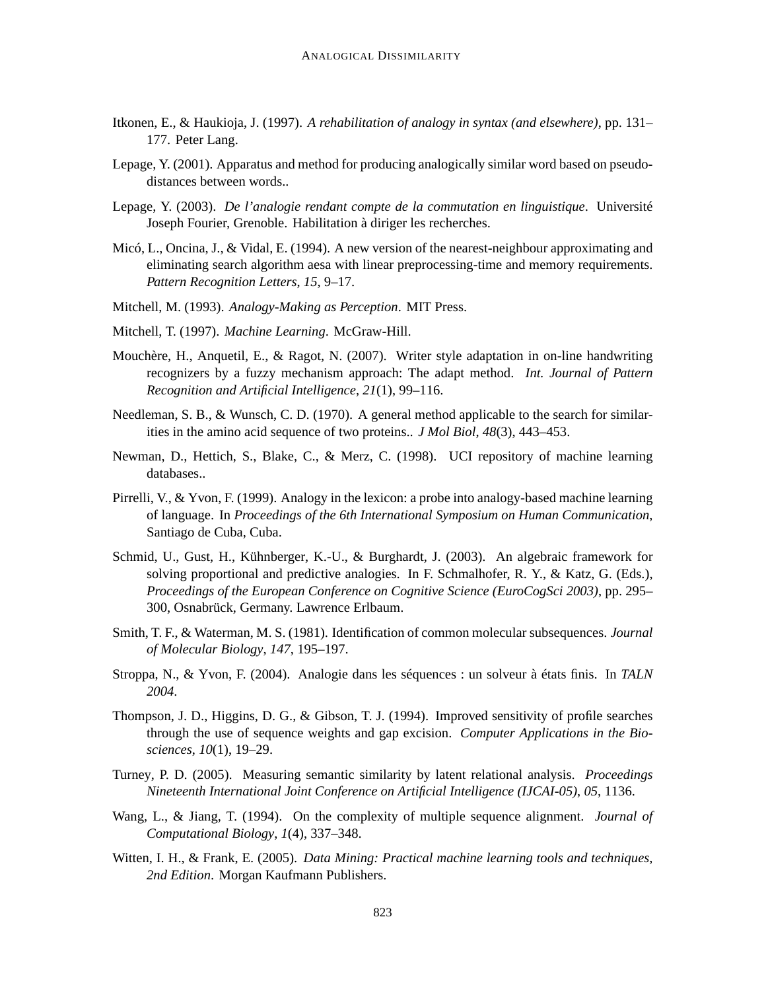- Itkonen, E., & Haukioja, J. (1997). *A rehabilitation of analogy in syntax (and elsewhere)*, pp. 131– 177. Peter Lang.
- Lepage, Y. (2001). Apparatus and method for producing analogically similar word based on pseudodistances between words..
- Lepage, Y. (2003). *De l'analogie rendant compte de la commutation en linguistique*. Université Joseph Fourier, Grenoble. Habilitation à diriger les recherches.
- Micó, L., Oncina, J., & Vidal, E. (1994). A new version of the nearest-neighbour approximating and eliminating search algorithm aesa with linear preprocessing-time and memory requirements. *Pattern Recognition Letters*, *15*, 9–17.
- Mitchell, M. (1993). *Analogy-Making as Perception*. MIT Press.
- Mitchell, T. (1997). *Machine Learning*. McGraw-Hill.
- Mouchère, H., Anquetil, E., & Ragot, N. (2007). Writer style adaptation in on-line handwriting recognizers by a fuzzy mechanism approach: The adapt method. *Int. Journal of Pattern Recognition and Artificial Intelligence*, *21*(1), 99–116.
- Needleman, S. B., & Wunsch, C. D. (1970). A general method applicable to the search for similarities in the amino acid sequence of two proteins.. *J Mol Biol*, *48*(3), 443–453.
- Newman, D., Hettich, S., Blake, C., & Merz, C. (1998). UCI repository of machine learning databases..
- Pirrelli, V., & Yvon, F. (1999). Analogy in the lexicon: a probe into analogy-based machine learning of language. In *Proceedings of the 6th International Symposium on Human Communication*, Santiago de Cuba, Cuba.
- Schmid, U., Gust, H., Kühnberger, K.-U., & Burghardt, J. (2003). An algebraic framework for solving proportional and predictive analogies. In F. Schmalhofer, R. Y., & Katz, G. (Eds.), *Proceedings of the European Conference on Cognitive Science (EuroCogSci 2003)*, pp. 295– 300, Osnabrück, Germany. Lawrence Erlbaum.
- Smith, T. F., & Waterman, M. S. (1981). Identification of common molecular subsequences. *Journal of Molecular Biology*, *147*, 195–197.
- Stroppa, N., & Yvon, F. (2004). Analogie dans les séquences : un solveur à états finis. In *TALN 2004*.
- Thompson, J. D., Higgins, D. G., & Gibson, T. J. (1994). Improved sensitivity of profile searches through the use of sequence weights and gap excision. *Computer Applications in the Biosciences*, *10*(1), 19–29.
- Turney, P. D. (2005). Measuring semantic similarity by latent relational analysis. *Proceedings Nineteenth International Joint Conference on Artificial Intelligence (IJCAI-05)*, *05*, 1136.
- Wang, L., & Jiang, T. (1994). On the complexity of multiple sequence alignment. *Journal of Computational Biology*, *1*(4), 337–348.
- Witten, I. H., & Frank, E. (2005). *Data Mining: Practical machine learning tools and techniques, 2nd Edition*. Morgan Kaufmann Publishers.